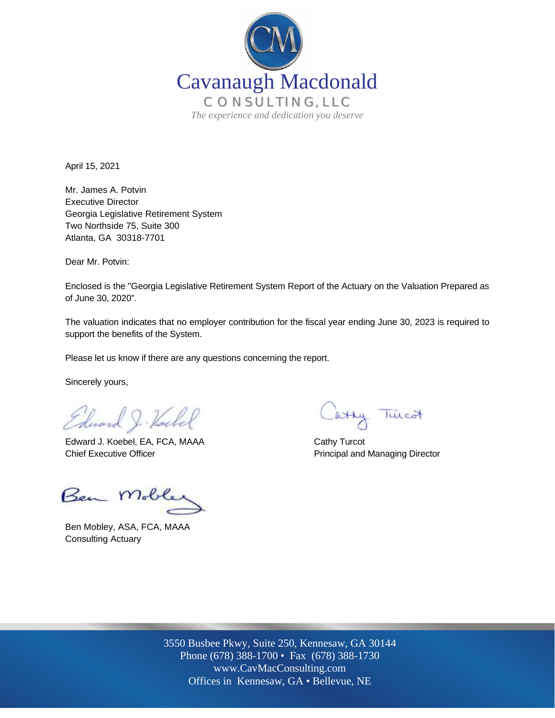

April 15, 2021

Mr. James A. Potvin Executive Director Georgia Legislative Retirement System Two Northside 75, Suite 300 Atlanta, GA 30318-7701

Dear Mr. Potvin:

Enclosed is the "Georgia Legislative Retirement System Report of the Actuary on the Valuation Prepared as of June 30, 2020".

The valuation indicates that no employer contribution for the fiscal year ending June 30, 2023 is required to support the benefits of the System.

Please let us know if there are any questions concerning the report.

Sincerely yours,

Edward J. Kell

Edward J. Koebel, EA, FCA, MAAA Cathy Turcot Chief Executive Officer **Principal and Managing Director** Principal and Managing Director

Ben Mobley

Ben Mobley, ASA, FCA, MAAA Consulting Actuary

Catty Tincot

Off Offices in Kennesaw, GA • Bellevue, NE 3550 Busbee Pkwy, Suite 250, Kennesaw, GA 30144 Phone (678) 388-1700 • Fax (678) 388-1730 www.CavMacConsulting.com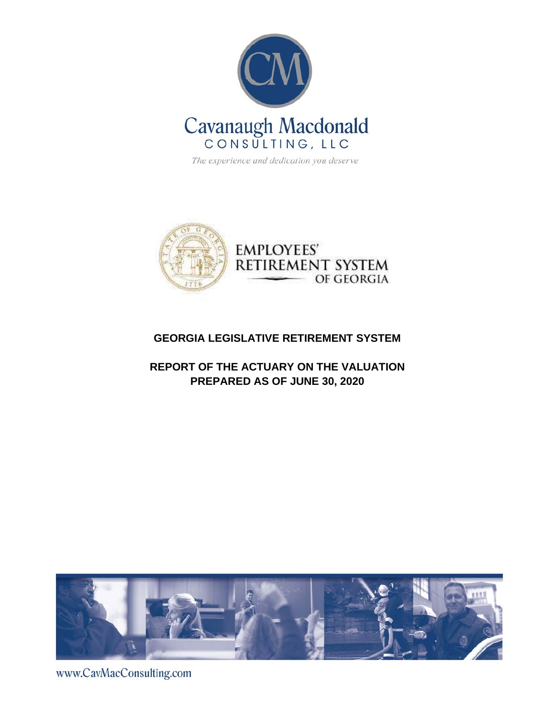

The experience and dedication you deserve



### **GEORGIA LEGISLATIVE RETIREMENT SYSTEM**

### **REPORT OF THE ACTUARY ON THE VALUATION PREPARED AS OF JUNE 30, 2020**



www.CavMacConsulting.com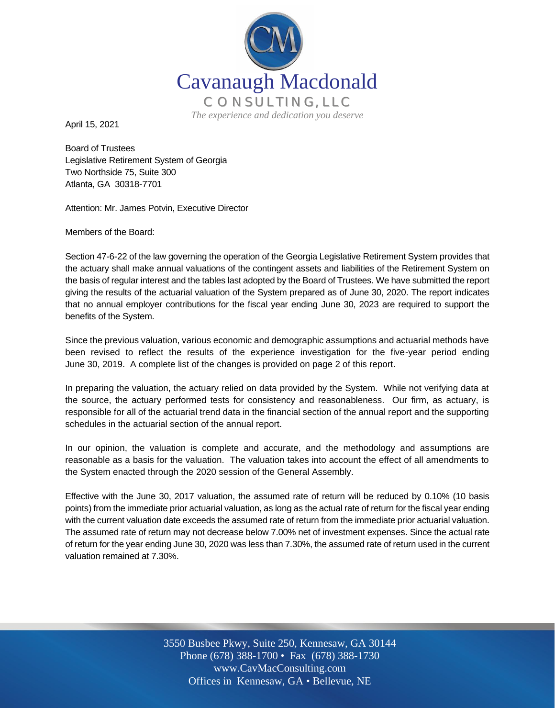

April 15, 2021

Board of Trustees Legislative Retirement System of Georgia Two Northside 75, Suite 300 Atlanta, GA 30318-7701

Attention: Mr. James Potvin, Executive Director

Members of the Board:

Section 47-6-22 of the law governing the operation of the Georgia Legislative Retirement System provides that the actuary shall make annual valuations of the contingent assets and liabilities of the Retirement System on the basis of regular interest and the tables last adopted by the Board of Trustees. We have submitted the report giving the results of the actuarial valuation of the System prepared as of June 30, 2020. The report indicates that no annual employer contributions for the fiscal year ending June 30, 2023 are required to support the benefits of the System.

Since the previous valuation, various economic and demographic assumptions and actuarial methods have been revised to reflect the results of the experience investigation for the five-year period ending June 30, 2019. A complete list of the changes is provided on page 2 of this report.

In preparing the valuation, the actuary relied on data provided by the System. While not verifying data at the source, the actuary performed tests for consistency and reasonableness. Our firm, as actuary, is responsible for all of the actuarial trend data in the financial section of the annual report and the supporting schedules in the actuarial section of the annual report.

In our opinion, the valuation is complete and accurate, and the methodology and assumptions are reasonable as a basis for the valuation. The valuation takes into account the effect of all amendments to the System enacted through the 2020 session of the General Assembly.

Effective with the June 30, 2017 valuation, the assumed rate of return will be reduced by 0.10% (10 basis points) from the immediate prior actuarial valuation, as long as the actual rate of return for the fiscal year ending with the current valuation date exceeds the assumed rate of return from the immediate prior actuarial valuation. The assumed rate of return may not decrease below 7.00% net of investment expenses. Since the actual rate of return for the year ending June 30, 2020 was less than 7.30%, the assumed rate of return used in the current valuation remained at 7.30%.

> Off Offices in Kennesaw, GA • Bellevue, NE 3550 Busbee Pkwy, Suite 250, Kennesaw, GA 30144 Phone (678) 388-1700 • Fax (678) 388-1730 www.CavMacConsulting.com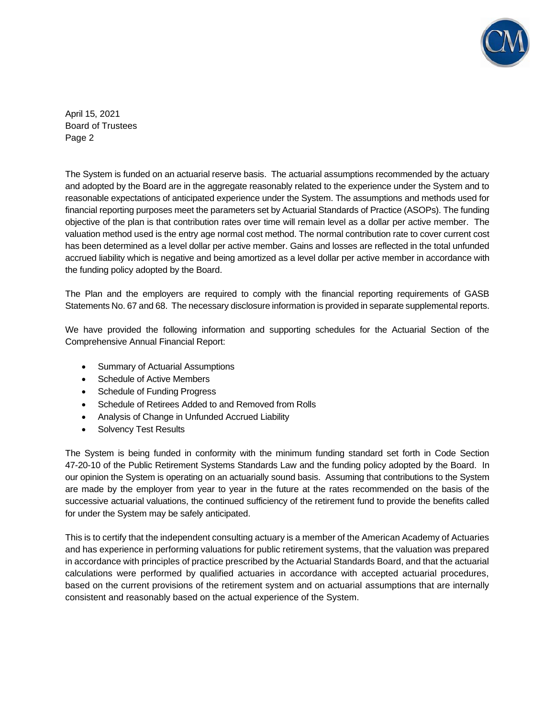

April 15, 2021 Board of Trustees Page 2

The System is funded on an actuarial reserve basis. The actuarial assumptions recommended by the actuary and adopted by the Board are in the aggregate reasonably related to the experience under the System and to reasonable expectations of anticipated experience under the System. The assumptions and methods used for financial reporting purposes meet the parameters set by Actuarial Standards of Practice (ASOPs). The funding objective of the plan is that contribution rates over time will remain level as a dollar per active member. The valuation method used is the entry age normal cost method. The normal contribution rate to cover current cost has been determined as a level dollar per active member. Gains and losses are reflected in the total unfunded accrued liability which is negative and being amortized as a level dollar per active member in accordance with the funding policy adopted by the Board.

The Plan and the employers are required to comply with the financial reporting requirements of GASB Statements No. 67 and 68. The necessary disclosure information is provided in separate supplemental reports.

We have provided the following information and supporting schedules for the Actuarial Section of the Comprehensive Annual Financial Report:

- Summary of Actuarial Assumptions
- Schedule of Active Members
- Schedule of Funding Progress
- Schedule of Retirees Added to and Removed from Rolls
- Analysis of Change in Unfunded Accrued Liability
- Solvency Test Results

The System is being funded in conformity with the minimum funding standard set forth in Code Section 47-20-10 of the Public Retirement Systems Standards Law and the funding policy adopted by the Board. In our opinion the System is operating on an actuarially sound basis. Assuming that contributions to the System are made by the employer from year to year in the future at the rates recommended on the basis of the successive actuarial valuations, the continued sufficiency of the retirement fund to provide the benefits called for under the System may be safely anticipated.

This is to certify that the independent consulting actuary is a member of the American Academy of Actuaries and has experience in performing valuations for public retirement systems, that the valuation was prepared in accordance with principles of practice prescribed by the Actuarial Standards Board, and that the actuarial calculations were performed by qualified actuaries in accordance with accepted actuarial procedures, based on the current provisions of the retirement system and on actuarial assumptions that are internally consistent and reasonably based on the actual experience of the System.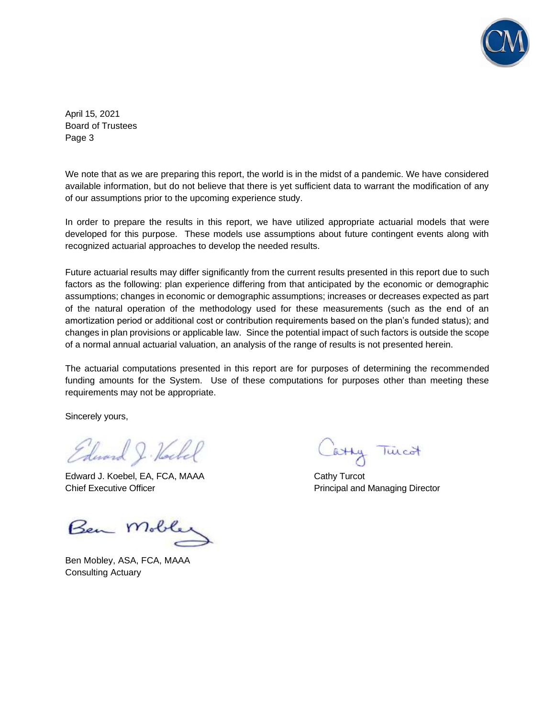

April 15, 2021 Board of Trustees Page 3

We note that as we are preparing this report, the world is in the midst of a pandemic. We have considered available information, but do not believe that there is yet sufficient data to warrant the modification of any of our assumptions prior to the upcoming experience study.

In order to prepare the results in this report, we have utilized appropriate actuarial models that were developed for this purpose. These models use assumptions about future contingent events along with recognized actuarial approaches to develop the needed results.

Future actuarial results may differ significantly from the current results presented in this report due to such factors as the following: plan experience differing from that anticipated by the economic or demographic assumptions; changes in economic or demographic assumptions; increases or decreases expected as part of the natural operation of the methodology used for these measurements (such as the end of an amortization period or additional cost or contribution requirements based on the plan's funded status); and changes in plan provisions or applicable law. Since the potential impact of such factors is outside the scope of a normal annual actuarial valuation, an analysis of the range of results is not presented herein.

The actuarial computations presented in this report are for purposes of determining the recommended funding amounts for the System. Use of these computations for purposes other than meeting these requirements may not be appropriate.

Sincerely yours,

Edward J. Hockel

Edward J. Koebel, EA, FCA, MAAA Cathy Turcot Chief Executive Officer **Principal and Managing Director** Principal and Managing Director

Ben Moble

Ben Mobley, ASA, FCA, MAAA Consulting Actuary

Catty Tincot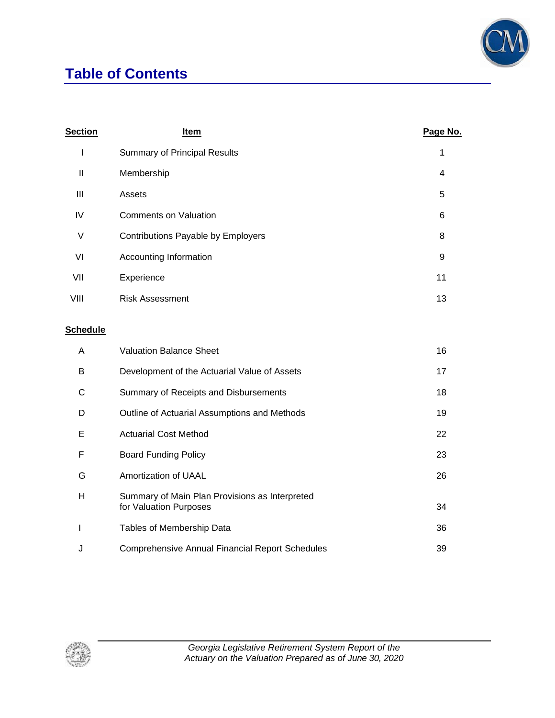### **Table of Contents**



| <b>Section</b>  | <u>Item</u>                                                              | Page No. |
|-----------------|--------------------------------------------------------------------------|----------|
| $\mathsf I$     | <b>Summary of Principal Results</b>                                      | 1        |
| $\mathbf{I}$    | Membership                                                               | 4        |
| $\mathbf{III}$  | Assets                                                                   | 5        |
| IV              | <b>Comments on Valuation</b>                                             | 6        |
| V               | Contributions Payable by Employers                                       | 8        |
| VI              | Accounting Information                                                   | 9        |
| VII             | Experience                                                               | 11       |
| VIII            | <b>Risk Assessment</b>                                                   | 13       |
| <b>Schedule</b> |                                                                          |          |
| A               | <b>Valuation Balance Sheet</b>                                           | 16       |
| B               | Development of the Actuarial Value of Assets                             | 17       |
| C               | Summary of Receipts and Disbursements                                    | 18       |
| D               | Outline of Actuarial Assumptions and Methods                             | 19       |
| Е               | <b>Actuarial Cost Method</b>                                             | 22       |
| F               | <b>Board Funding Policy</b>                                              | 23       |
| G               | Amortization of UAAL                                                     | 26       |
| H               | Summary of Main Plan Provisions as Interpreted<br>for Valuation Purposes | 34       |
| I               | Tables of Membership Data                                                | 36       |
| J               | <b>Comprehensive Annual Financial Report Schedules</b>                   | 39       |

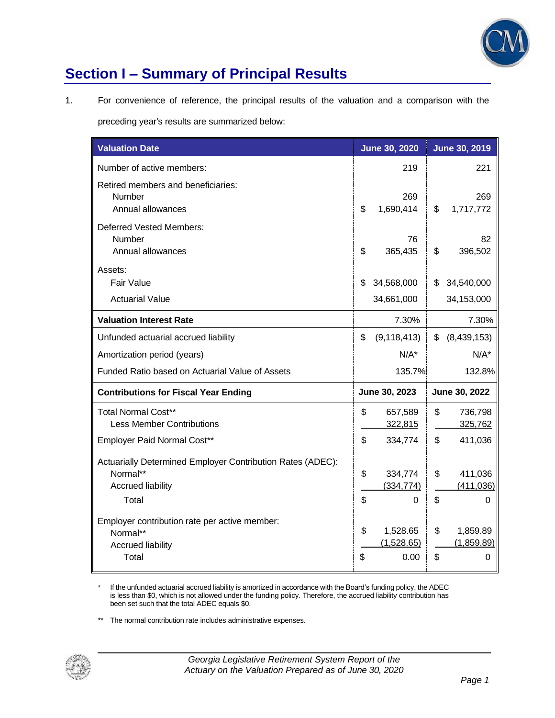

## **Section I – Summary of Principal Results**

1. For convenience of reference, the principal results of the valuation and a comparison with the

preceding year's results are summarized below:

| <b>Valuation Date</b>                                                                                       |          | <b>June 30, 2020</b>           |          | <b>June 30, 2019</b>          |
|-------------------------------------------------------------------------------------------------------------|----------|--------------------------------|----------|-------------------------------|
| Number of active members:                                                                                   |          | 219                            |          | 221                           |
| Retired members and beneficiaries:<br>Number<br>Annual allowances                                           | \$       | 269<br>1,690,414               | \$       | 269<br>1,717,772              |
| Deferred Vested Members:<br>Number<br>Annual allowances                                                     | \$       | 76<br>365,435                  | \$       | 82<br>396,502                 |
| Assets:<br><b>Fair Value</b><br><b>Actuarial Value</b>                                                      | \$       | 34,568,000<br>34,661,000       | \$       | 34,540,000<br>34,153,000      |
| <b>Valuation Interest Rate</b>                                                                              |          | 7.30%                          |          | 7.30%                         |
| Unfunded actuarial accrued liability                                                                        | \$       | (9, 118, 413)                  | \$       | (8,439,153)                   |
| Amortization period (years)                                                                                 |          | $N/A^*$                        |          | $N/A^*$                       |
| Funded Ratio based on Actuarial Value of Assets                                                             |          | 135.7%                         |          | 132.8%                        |
| <b>Contributions for Fiscal Year Ending</b>                                                                 |          | June 30, 2023                  |          | June 30, 2022                 |
| <b>Total Normal Cost**</b><br><b>Less Member Contributions</b><br>Employer Paid Normal Cost**               | \$<br>\$ | 657,589<br>322,815<br>334,774  | \$<br>\$ | 736,798<br>325,762<br>411,036 |
| Actuarially Determined Employer Contribution Rates (ADEC):<br>Normal**<br><b>Accrued liability</b><br>Total | \$<br>\$ | 334,774<br>(334, 774)<br>0     | \$<br>\$ | 411,036<br>(411, 036)<br>0    |
| Employer contribution rate per active member:<br>Normal**<br><b>Accrued liability</b><br>Total              | \$<br>\$ | 1,528.65<br>(1,528.65)<br>0.00 | \$<br>\$ | 1,859.89<br>(1,859.89)<br>0   |

\* If the unfunded actuarial accrued liability is amortized in accordance with the Board's funding policy, the ADEC is less than \$0, which is not allowed under the funding policy. Therefore, the accrued liability contribution has been set such that the total ADEC equals \$0.

\*\* The normal contribution rate includes administrative expenses.

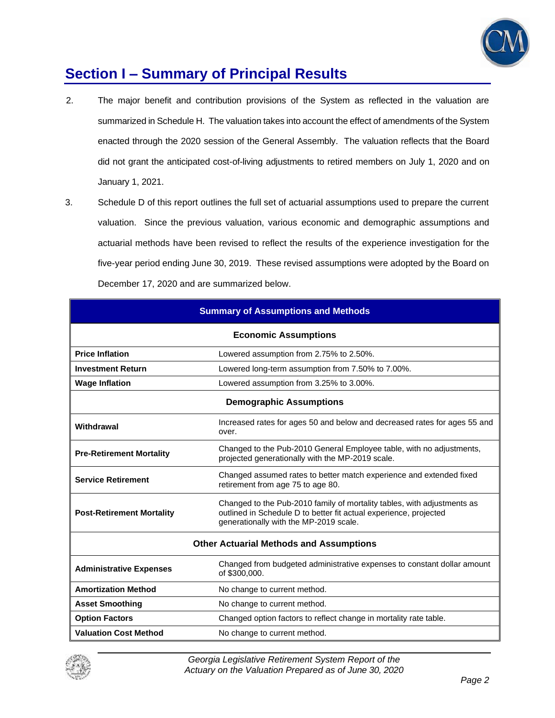

### **Section I – Summary of Principal Results**

- 2. The major benefit and contribution provisions of the System as reflected in the valuation are summarized in Schedule H. The valuation takes into account the effect of amendments of the System enacted through the 2020 session of the General Assembly. The valuation reflects that the Board did not grant the anticipated cost-of-living adjustments to retired members on July 1, 2020 and on January 1, 2021.
- 3. Schedule D of this report outlines the full set of actuarial assumptions used to prepare the current valuation. Since the previous valuation, various economic and demographic assumptions and actuarial methods have been revised to reflect the results of the experience investigation for the five-year period ending June 30, 2019. These revised assumptions were adopted by the Board on December 17, 2020 and are summarized below.

| <b>Summary of Assumptions and Methods</b> |                                                                                                                                                                                        |  |  |  |  |
|-------------------------------------------|----------------------------------------------------------------------------------------------------------------------------------------------------------------------------------------|--|--|--|--|
| <b>Economic Assumptions</b>               |                                                                                                                                                                                        |  |  |  |  |
| <b>Price Inflation</b>                    | Lowered assumption from 2.75% to 2.50%.                                                                                                                                                |  |  |  |  |
| <b>Investment Return</b>                  | Lowered long-term assumption from 7.50% to 7.00%.                                                                                                                                      |  |  |  |  |
| <b>Wage Inflation</b>                     | Lowered assumption from 3.25% to 3.00%.                                                                                                                                                |  |  |  |  |
|                                           | <b>Demographic Assumptions</b>                                                                                                                                                         |  |  |  |  |
| Withdrawal                                | Increased rates for ages 50 and below and decreased rates for ages 55 and<br>over.                                                                                                     |  |  |  |  |
| <b>Pre-Retirement Mortality</b>           | Changed to the Pub-2010 General Employee table, with no adjustments,<br>projected generationally with the MP-2019 scale.                                                               |  |  |  |  |
| <b>Service Retirement</b>                 | Changed assumed rates to better match experience and extended fixed<br>retirement from age 75 to age 80.                                                                               |  |  |  |  |
| <b>Post-Retirement Mortality</b>          | Changed to the Pub-2010 family of mortality tables, with adjustments as<br>outlined in Schedule D to better fit actual experience, projected<br>generationally with the MP-2019 scale. |  |  |  |  |
|                                           | <b>Other Actuarial Methods and Assumptions</b>                                                                                                                                         |  |  |  |  |
| <b>Administrative Expenses</b>            | Changed from budgeted administrative expenses to constant dollar amount<br>of \$300,000.                                                                                               |  |  |  |  |
| <b>Amortization Method</b>                | No change to current method.                                                                                                                                                           |  |  |  |  |
| <b>Asset Smoothing</b>                    | No change to current method.                                                                                                                                                           |  |  |  |  |
| <b>Option Factors</b>                     | Changed option factors to reflect change in mortality rate table.                                                                                                                      |  |  |  |  |
| <b>Valuation Cost Method</b>              | No change to current method.                                                                                                                                                           |  |  |  |  |

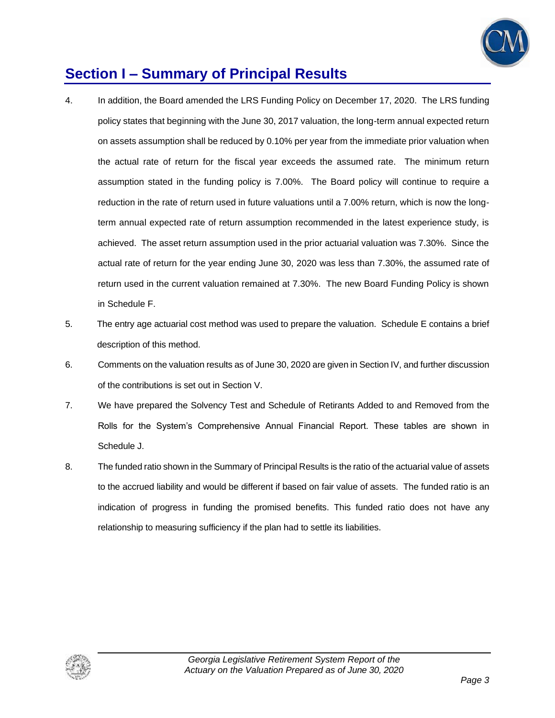

### **Section I – Summary of Principal Results**

- 4. In addition, the Board amended the LRS Funding Policy on December 17, 2020. The LRS funding policy states that beginning with the June 30, 2017 valuation, the long-term annual expected return on assets assumption shall be reduced by 0.10% per year from the immediate prior valuation when the actual rate of return for the fiscal year exceeds the assumed rate. The minimum return assumption stated in the funding policy is 7.00%. The Board policy will continue to require a reduction in the rate of return used in future valuations until a 7.00% return, which is now the longterm annual expected rate of return assumption recommended in the latest experience study, is achieved. The asset return assumption used in the prior actuarial valuation was 7.30%. Since the actual rate of return for the year ending June 30, 2020 was less than 7.30%, the assumed rate of return used in the current valuation remained at 7.30%. The new Board Funding Policy is shown in Schedule F.
- 5. The entry age actuarial cost method was used to prepare the valuation. Schedule E contains a brief description of this method.
- 6. Comments on the valuation results as of June 30, 2020 are given in Section IV, and further discussion of the contributions is set out in Section V.
- 7. We have prepared the Solvency Test and Schedule of Retirants Added to and Removed from the Rolls for the System's Comprehensive Annual Financial Report. These tables are shown in Schedule J.
- 8. The funded ratio shown in the Summary of Principal Results is the ratio of the actuarial value of assets to the accrued liability and would be different if based on fair value of assets. The funded ratio is an indication of progress in funding the promised benefits. This funded ratio does not have any relationship to measuring sufficiency if the plan had to settle its liabilities.

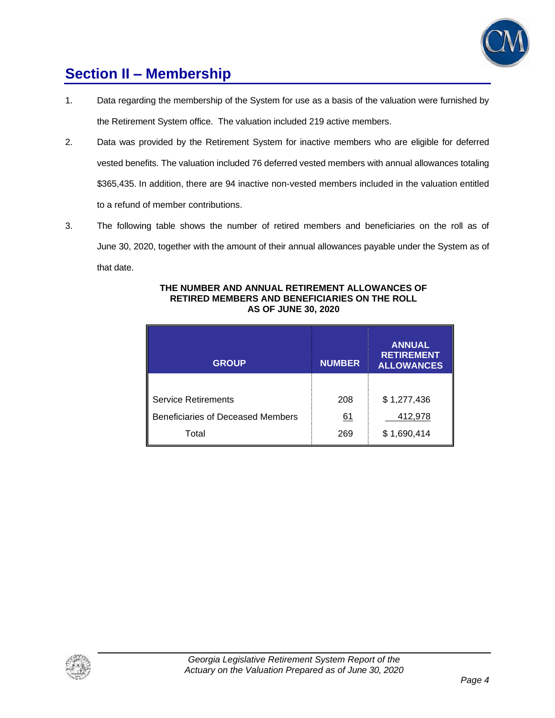

### **Section II – Membership**

- 1. Data regarding the membership of the System for use as a basis of the valuation were furnished by the Retirement System office. The valuation included 219 active members.
- 2. Data was provided by the Retirement System for inactive members who are eligible for deferred vested benefits. The valuation included 76 deferred vested members with annual allowances totaling \$365,435. In addition, there are 94 inactive non-vested members included in the valuation entitled to a refund of member contributions.
- 3. The following table shows the number of retired members and beneficiaries on the roll as of June 30, 2020, together with the amount of their annual allowances payable under the System as of that date.

| <b>GROUP</b>                             | <b>NUMBER</b> | <b>ANNUAL</b><br><b>RETIREMENT</b><br><b>ALLOWANCES</b> |
|------------------------------------------|---------------|---------------------------------------------------------|
|                                          |               |                                                         |
| <b>Service Retirements</b>               | 208           | \$1,277,436                                             |
| <b>Beneficiaries of Deceased Members</b> | 61            | 412,978                                                 |
| Total                                    | 269           | \$1,690,414                                             |

#### **THE NUMBER AND ANNUAL RETIREMENT ALLOWANCES OF RETIRED MEMBERS AND BENEFICIARIES ON THE ROLL AS OF JUNE 30, 2020**

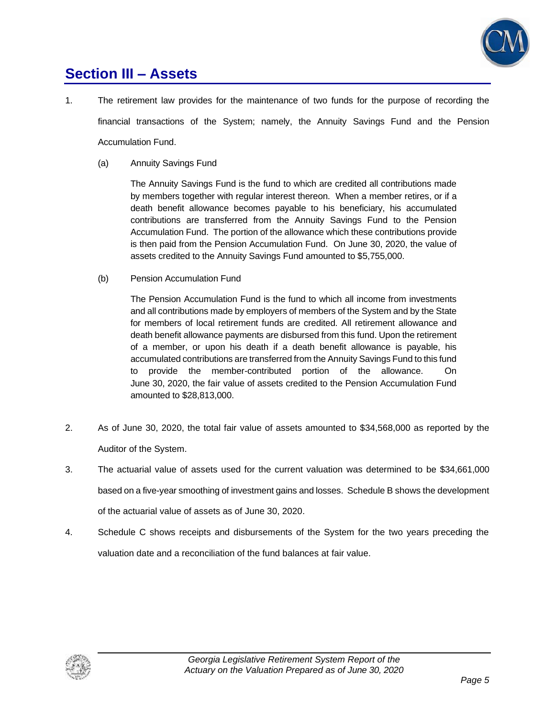

### **Section III – Assets**

- 1. The retirement law provides for the maintenance of two funds for the purpose of recording the financial transactions of the System; namely, the Annuity Savings Fund and the Pension Accumulation Fund.
	- (a) Annuity Savings Fund

The Annuity Savings Fund is the fund to which are credited all contributions made by members together with regular interest thereon. When a member retires, or if a death benefit allowance becomes payable to his beneficiary, his accumulated contributions are transferred from the Annuity Savings Fund to the Pension Accumulation Fund. The portion of the allowance which these contributions provide is then paid from the Pension Accumulation Fund. On June 30, 2020, the value of assets credited to the Annuity Savings Fund amounted to \$5,755,000.

(b) Pension Accumulation Fund

The Pension Accumulation Fund is the fund to which all income from investments and all contributions made by employers of members of the System and by the State for members of local retirement funds are credited. All retirement allowance and death benefit allowance payments are disbursed from this fund. Upon the retirement of a member, or upon his death if a death benefit allowance is payable, his accumulated contributions are transferred from the Annuity Savings Fund to this fund to provide the member-contributed portion of the allowance. On June 30, 2020, the fair value of assets credited to the Pension Accumulation Fund amounted to \$28,813,000.

- 2. As of June 30, 2020, the total fair value of assets amounted to \$34,568,000 as reported by the Auditor of the System.
- 3. The actuarial value of assets used for the current valuation was determined to be \$34,661,000 based on a five-year smoothing of investment gains and losses. Schedule B shows the development of the actuarial value of assets as of June 30, 2020.
- 4. Schedule C shows receipts and disbursements of the System for the two years preceding the valuation date and a reconciliation of the fund balances at fair value.

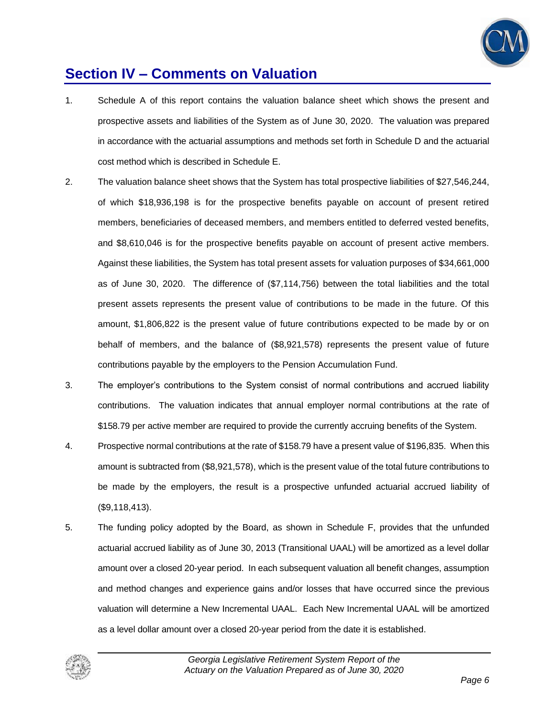

### **Section IV – Comments on Valuation**

- 1. Schedule A of this report contains the valuation balance sheet which shows the present and prospective assets and liabilities of the System as of June 30, 2020. The valuation was prepared in accordance with the actuarial assumptions and methods set forth in Schedule D and the actuarial cost method which is described in Schedule E.
- 2. The valuation balance sheet shows that the System has total prospective liabilities of \$27,546,244, of which \$18,936,198 is for the prospective benefits payable on account of present retired members, beneficiaries of deceased members, and members entitled to deferred vested benefits, and \$8,610,046 is for the prospective benefits payable on account of present active members. Against these liabilities, the System has total present assets for valuation purposes of \$34,661,000 as of June 30, 2020. The difference of (\$7,114,756) between the total liabilities and the total present assets represents the present value of contributions to be made in the future. Of this amount, \$1,806,822 is the present value of future contributions expected to be made by or on behalf of members, and the balance of (\$8,921,578) represents the present value of future contributions payable by the employers to the Pension Accumulation Fund.
- 3. The employer's contributions to the System consist of normal contributions and accrued liability contributions. The valuation indicates that annual employer normal contributions at the rate of \$158.79 per active member are required to provide the currently accruing benefits of the System.
- 4. Prospective normal contributions at the rate of \$158.79 have a present value of \$196,835. When this amount is subtracted from (\$8,921,578), which is the present value of the total future contributions to be made by the employers, the result is a prospective unfunded actuarial accrued liability of (\$9,118,413).
- 5. The funding policy adopted by the Board, as shown in Schedule F, provides that the unfunded actuarial accrued liability as of June 30, 2013 (Transitional UAAL) will be amortized as a level dollar amount over a closed 20-year period. In each subsequent valuation all benefit changes, assumption and method changes and experience gains and/or losses that have occurred since the previous valuation will determine a New Incremental UAAL. Each New Incremental UAAL will be amortized as a level dollar amount over a closed 20-year period from the date it is established.

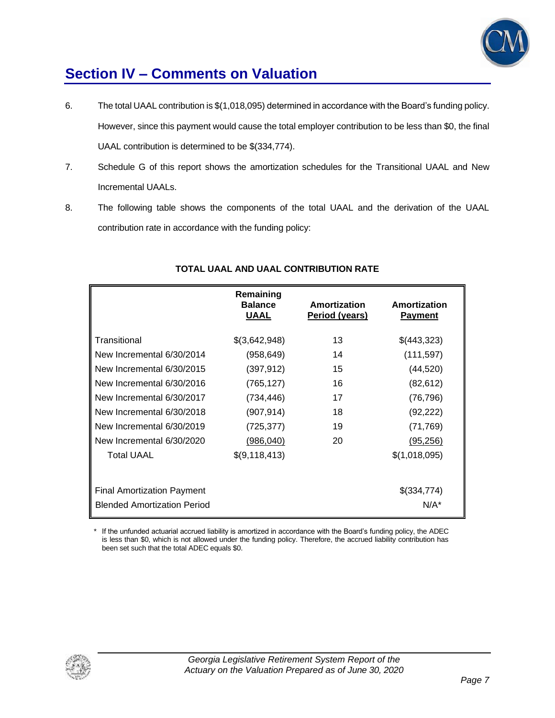

### **Section IV – Comments on Valuation**

- 6. The total UAAL contribution is \$(1,018,095) determined in accordance with the Board's funding policy. However, since this payment would cause the total employer contribution to be less than \$0, the final UAAL contribution is determined to be \$(334,774).
- 7. Schedule G of this report shows the amortization schedules for the Transitional UAAL and New Incremental UAALs.
- 8. The following table shows the components of the total UAAL and the derivation of the UAAL contribution rate in accordance with the funding policy:

|                                    | Remaining<br><b>Balance</b><br><b>UAAL</b> | Amortization<br>Period (years) | Amortization<br><b>Payment</b> |
|------------------------------------|--------------------------------------------|--------------------------------|--------------------------------|
| Transitional                       | \$(3,642,948)                              | 13                             | \$(443,323)                    |
| New Incremental 6/30/2014          | (958, 649)                                 | 14                             | (111, 597)                     |
| New Incremental 6/30/2015          | (397, 912)                                 | 15                             | (44, 520)                      |
| New Incremental 6/30/2016          | (765, 127)                                 | 16                             | (82, 612)                      |
| New Incremental 6/30/2017          | (734, 446)                                 | 17                             | (76, 796)                      |
| New Incremental 6/30/2018          | (907, 914)                                 | 18                             | (92, 222)                      |
| New Incremental 6/30/2019          | (725,377)                                  | 19                             | (71, 769)                      |
| New Incremental 6/30/2020          | (986, 040)                                 | 20                             | (95, 256)                      |
| <b>Total UAAL</b>                  | \$(9,118,413)                              |                                | \$(1,018,095)                  |
| <b>Final Amortization Payment</b>  |                                            |                                | \$(334,774)                    |
| <b>Blended Amortization Period</b> |                                            |                                | $N/A^*$                        |

### **TOTAL UAAL AND UAAL CONTRIBUTION RATE**

\* If the unfunded actuarial accrued liability is amortized in accordance with the Board's funding policy, the ADEC is less than \$0, which is not allowed under the funding policy. Therefore, the accrued liability contribution has been set such that the total ADEC equals \$0.

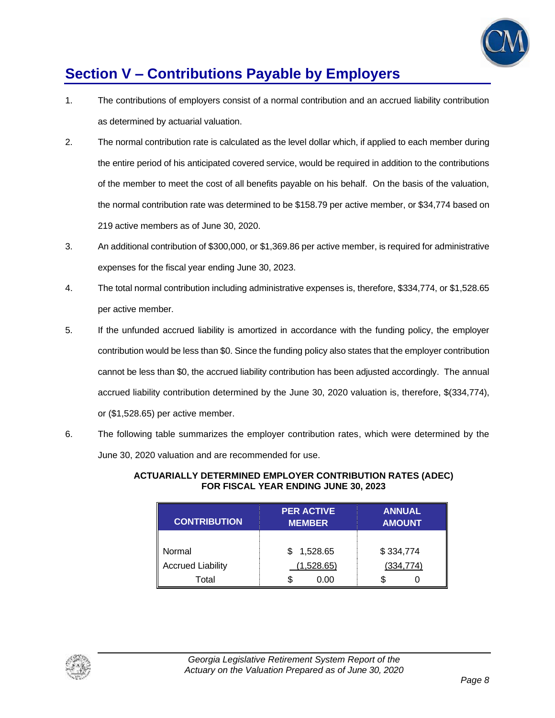

### **Section V – Contributions Payable by Employers**

- 1. The contributions of employers consist of a normal contribution and an accrued liability contribution as determined by actuarial valuation.
- 2. The normal contribution rate is calculated as the level dollar which, if applied to each member during the entire period of his anticipated covered service, would be required in addition to the contributions of the member to meet the cost of all benefits payable on his behalf. On the basis of the valuation, the normal contribution rate was determined to be \$158.79 per active member, or \$34,774 based on 219 active members as of June 30, 2020.
- 3. An additional contribution of \$300,000, or \$1,369.86 per active member, is required for administrative expenses for the fiscal year ending June 30, 2023.
- 4. The total normal contribution including administrative expenses is, therefore, \$334,774, or \$1,528.65 per active member.
- 5. If the unfunded accrued liability is amortized in accordance with the funding policy, the employer contribution would be less than \$0. Since the funding policy also states that the employer contribution cannot be less than \$0, the accrued liability contribution has been adjusted accordingly. The annual accrued liability contribution determined by the June 30, 2020 valuation is, therefore, \$(334,774), or (\$1,528.65) per active member.
- 6. The following table summarizes the employer contribution rates, which were determined by the June 30, 2020 valuation and are recommended for use.

| <b>CONTRIBUTION</b>      | <b>PER ACTIVE</b><br><b>MEMBER</b> | <b>ANNUAL</b><br><b>AMOUNT</b> |
|--------------------------|------------------------------------|--------------------------------|
|                          |                                    |                                |
| Normal                   | \$1,528.65                         | \$334,774                      |
| <b>Accrued Liability</b> | (1,528.65)                         | (334, 774)                     |
| Total                    | S<br>0.00                          | S                              |

#### **ACTUARIALLY DETERMINED EMPLOYER CONTRIBUTION RATES (ADEC) FOR FISCAL YEAR ENDING JUNE 30, 2023**

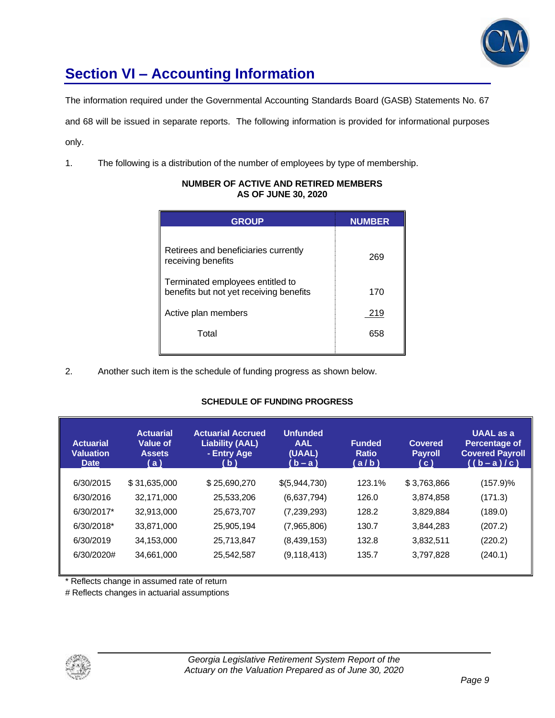

## **Section VI – Accounting Information**

The information required under the Governmental Accounting Standards Board (GASB) Statements No. 67

and 68 will be issued in separate reports. The following information is provided for informational purposes

only.

1. The following is a distribution of the number of employees by type of membership.

| <b>GROUP</b>                                                                | <b>NUMBER</b> |
|-----------------------------------------------------------------------------|---------------|
| Retirees and beneficiaries currently<br>receiving benefits                  | 269           |
| Terminated employees entitled to<br>benefits but not yet receiving benefits | 170           |
| Active plan members                                                         | 219           |
| Total                                                                       | 658           |

#### **NUMBER OF ACTIVE AND RETIRED MEMBERS AS OF JUNE 30, 2020**

2. Another such item is the schedule of funding progress as shown below.

#### **SCHEDULE OF FUNDING PROGRESS**

| <b>Actuarial</b><br><b>Valuation</b><br><b>Date</b> | <b>Actuarial</b><br><b>Value of</b><br><b>Assets</b><br>(a) | <b>Actuarial Accrued</b><br><b>Liability (AAL)</b><br>- Entry Age<br>(b) | <b>Unfunded</b><br><b>AAL</b><br>(UAAL)<br>(b – a ) | <b>Funded</b><br><b>Ratio</b><br>(a/b) | <b>Covered</b><br><b>Payroll</b><br>(C) | <b>UAAL</b> as a<br><b>Percentage of</b><br><b>Covered Payroll</b><br>$((b-a)/c)$ |
|-----------------------------------------------------|-------------------------------------------------------------|--------------------------------------------------------------------------|-----------------------------------------------------|----------------------------------------|-----------------------------------------|-----------------------------------------------------------------------------------|
| 6/30/2015                                           | \$31,635,000                                                | \$25,690,270                                                             | \$(5,944,730)                                       | 123.1%                                 | \$3,763,866                             | (157.9)%                                                                          |
| 6/30/2016                                           | 32.171.000                                                  | 25,533,206                                                               | (6,637,794)                                         | 126.0                                  | 3,874,858                               | (171.3)                                                                           |
| 6/30/2017*                                          | 32,913,000                                                  | 25,673,707                                                               | (7,239,293)                                         | 128.2                                  | 3,829,884                               | (189.0)                                                                           |
| 6/30/2018*                                          | 33,871,000                                                  | 25,905,194                                                               | (7,965,806)                                         | 130.7                                  | 3,844,283                               | (207.2)                                                                           |
| 6/30/2019                                           | 34,153,000                                                  | 25,713,847                                                               | (8,439,153)                                         | 132.8                                  | 3,832,511                               | (220.2)                                                                           |
| 6/30/2020#                                          | 34,661,000                                                  | 25,542,587                                                               | (9, 118, 413)                                       | 135.7                                  | 3,797,828                               | (240.1)                                                                           |
|                                                     |                                                             |                                                                          |                                                     |                                        |                                         |                                                                                   |

\* Reflects change in assumed rate of return

# Reflects changes in actuarial assumptions

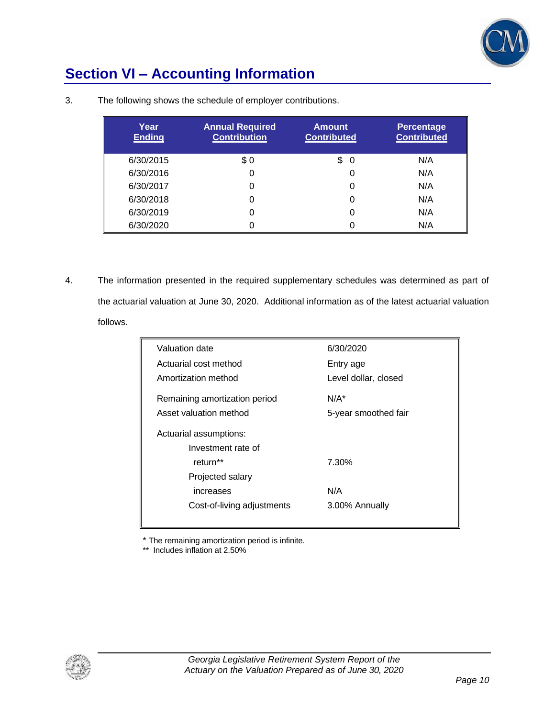

## **Section VI – Accounting Information**

| Year<br><b>Ending</b> | <b>Annual Required</b><br><b>Contribution</b> | <b>Amount</b><br><b>Contributed</b> | <b>Percentage</b><br><b>Contributed</b> |
|-----------------------|-----------------------------------------------|-------------------------------------|-----------------------------------------|
| 6/30/2015             | \$0                                           | \$<br>0                             | N/A                                     |
| 6/30/2016             | 0                                             |                                     | N/A                                     |
| 6/30/2017             | 0                                             |                                     | N/A                                     |
| 6/30/2018             | 0                                             |                                     | N/A                                     |
| 6/30/2019             | 0                                             |                                     | N/A                                     |
| 6/30/2020             | 0                                             |                                     | N/A                                     |

3. The following shows the schedule of employer contributions.

4. The information presented in the required supplementary schedules was determined as part of the actuarial valuation at June 30, 2020. Additional information as of the latest actuarial valuation follows.

| Valuation date                | 6/30/2020            |
|-------------------------------|----------------------|
| Actuarial cost method         | Entry age            |
| Amortization method           | Level dollar, closed |
| Remaining amortization period | $N/A^*$              |
| Asset valuation method        | 5-year smoothed fair |
| Actuarial assumptions:        |                      |
| Investment rate of            |                      |
| return**                      | 7.30%                |
| Projected salary              |                      |
| increases                     | N/A                  |
| Cost-of-living adjustments    | 3.00% Annually       |
|                               |                      |

\* The remaining amortization period is infinite.

\*\* Includes inflation at 2.50%

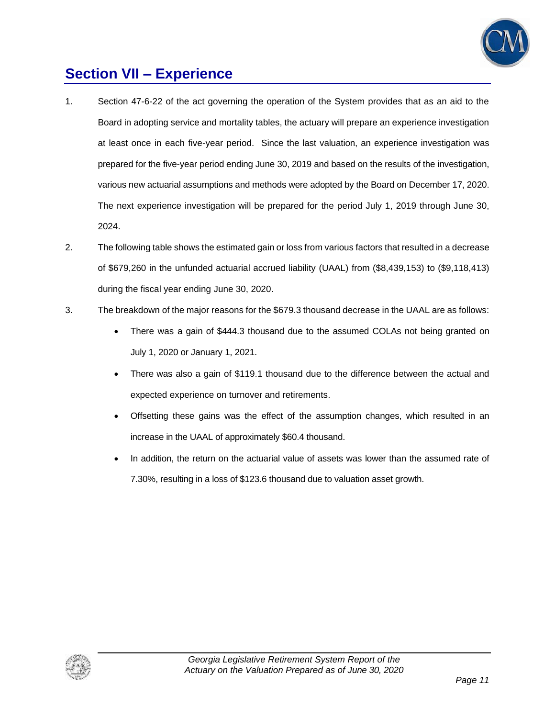

### **Section VII – Experience**

- 1. Section 47-6-22 of the act governing the operation of the System provides that as an aid to the Board in adopting service and mortality tables, the actuary will prepare an experience investigation at least once in each five-year period. Since the last valuation, an experience investigation was prepared for the five-year period ending June 30, 2019 and based on the results of the investigation, various new actuarial assumptions and methods were adopted by the Board on December 17, 2020. The next experience investigation will be prepared for the period July 1, 2019 through June 30, 2024.
- 2. The following table shows the estimated gain or loss from various factors that resulted in a decrease of \$679,260 in the unfunded actuarial accrued liability (UAAL) from (\$8,439,153) to (\$9,118,413) during the fiscal year ending June 30, 2020.
- 3. The breakdown of the major reasons for the \$679.3 thousand decrease in the UAAL are as follows:
	- There was a gain of \$444.3 thousand due to the assumed COLAs not being granted on July 1, 2020 or January 1, 2021.
	- There was also a gain of \$119.1 thousand due to the difference between the actual and expected experience on turnover and retirements.
	- Offsetting these gains was the effect of the assumption changes, which resulted in an increase in the UAAL of approximately \$60.4 thousand.
	- In addition, the return on the actuarial value of assets was lower than the assumed rate of 7.30%, resulting in a loss of \$123.6 thousand due to valuation asset growth.

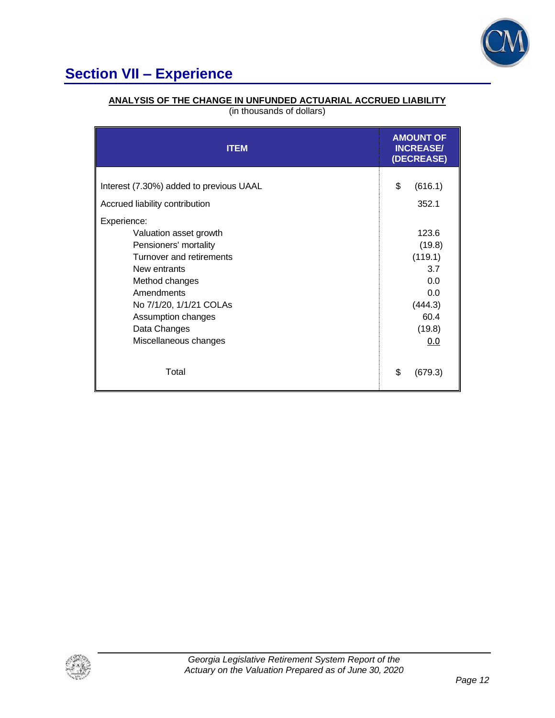

# **Section VII – Experience**

### **ANALYSIS OF THE CHANGE IN UNFUNDED ACTUARIAL ACCRUED LIABILITY**

(in thousands of dollars)

| <b>ITEM</b>                                                                                                                                                                                                                                 | <b>AMOUNT OF</b><br><b>INCREASE/</b><br>(DECREASE)                                  |
|---------------------------------------------------------------------------------------------------------------------------------------------------------------------------------------------------------------------------------------------|-------------------------------------------------------------------------------------|
| Interest (7.30%) added to previous UAAL<br>Accrued liability contribution                                                                                                                                                                   | \$<br>(616.1)<br>352.1                                                              |
| Experience:<br>Valuation asset growth<br>Pensioners' mortality<br>Turnover and retirements<br>New entrants<br>Method changes<br><b>Amendments</b><br>No 7/1/20, 1/1/21 COLAs<br>Assumption changes<br>Data Changes<br>Miscellaneous changes | 123.6<br>(19.8)<br>(119.1)<br>3.7<br>0.0<br>0.0<br>(444.3)<br>60.4<br>(19.8)<br>0.0 |
| Total                                                                                                                                                                                                                                       | \$<br>(679.3)                                                                       |

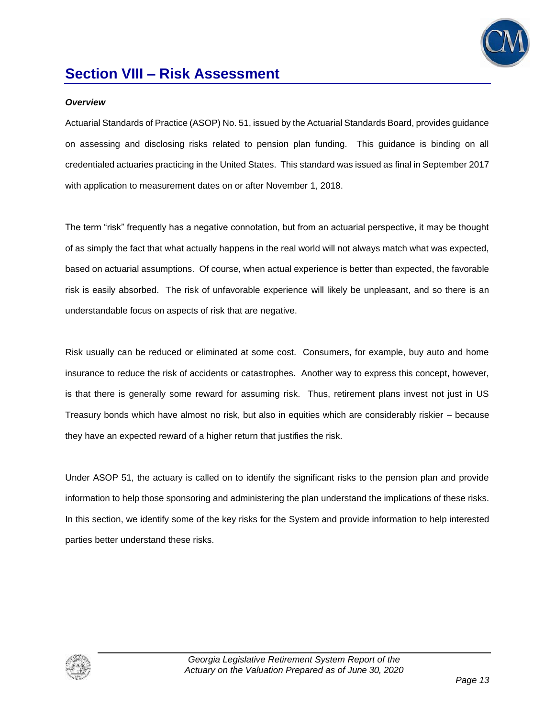

### **Section VIII – Risk Assessment**

#### *Overview*

Actuarial Standards of Practice (ASOP) No. 51, issued by the Actuarial Standards Board, provides guidance on assessing and disclosing risks related to pension plan funding. This guidance is binding on all credentialed actuaries practicing in the United States. This standard was issued as final in September 2017 with application to measurement dates on or after November 1, 2018.

The term "risk" frequently has a negative connotation, but from an actuarial perspective, it may be thought of as simply the fact that what actually happens in the real world will not always match what was expected, based on actuarial assumptions. Of course, when actual experience is better than expected, the favorable risk is easily absorbed. The risk of unfavorable experience will likely be unpleasant, and so there is an understandable focus on aspects of risk that are negative.

Risk usually can be reduced or eliminated at some cost. Consumers, for example, buy auto and home insurance to reduce the risk of accidents or catastrophes. Another way to express this concept, however, is that there is generally some reward for assuming risk. Thus, retirement plans invest not just in US Treasury bonds which have almost no risk, but also in equities which are considerably riskier – because they have an expected reward of a higher return that justifies the risk.

Under ASOP 51, the actuary is called on to identify the significant risks to the pension plan and provide information to help those sponsoring and administering the plan understand the implications of these risks. In this section, we identify some of the key risks for the System and provide information to help interested parties better understand these risks.

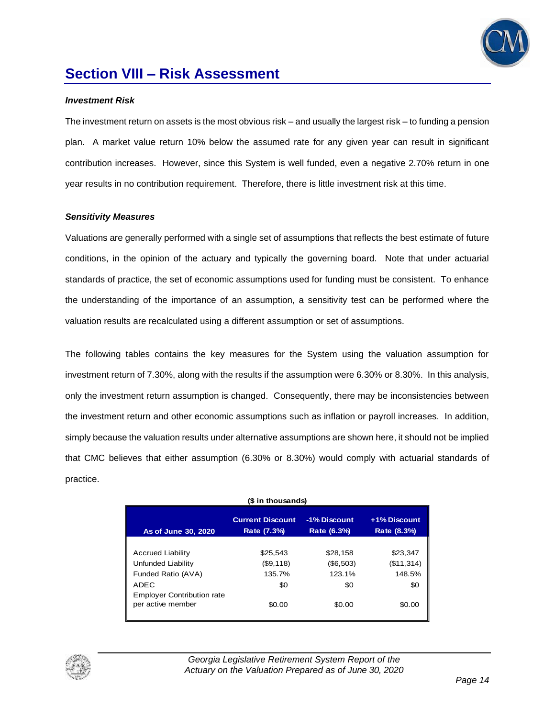

### **Section VIII – Risk Assessment**

#### *Investment Risk*

The investment return on assets is the most obvious risk – and usually the largest risk – to funding a pension plan. A market value return 10% below the assumed rate for any given year can result in significant contribution increases. However, since this System is well funded, even a negative 2.70% return in one year results in no contribution requirement. Therefore, there is little investment risk at this time.

#### *Sensitivity Measures*

Valuations are generally performed with a single set of assumptions that reflects the best estimate of future conditions, in the opinion of the actuary and typically the governing board. Note that under actuarial standards of practice, the set of economic assumptions used for funding must be consistent. To enhance the understanding of the importance of an assumption, a sensitivity test can be performed where the valuation results are recalculated using a different assumption or set of assumptions.

The following tables contains the key measures for the System using the valuation assumption for investment return of 7.30%, along with the results if the assumption were 6.30% or 8.30%. In this analysis, only the investment return assumption is changed. Consequently, there may be inconsistencies between the investment return and other economic assumptions such as inflation or payroll increases. In addition, simply because the valuation results under alternative assumptions are shown here, it should not be implied that CMC believes that either assumption (6.30% or 8.30%) would comply with actuarial standards of practice.

| (\$ in thousands)                                                                                                                      |                                                  |                                                  |                                                   |  |  |
|----------------------------------------------------------------------------------------------------------------------------------------|--------------------------------------------------|--------------------------------------------------|---------------------------------------------------|--|--|
| As of June 30, 2020                                                                                                                    | <b>Current Discount</b><br>Rate (7.3%)           | -1% Discount<br>Rate (6.3%)                      | +1% Discount<br>Rate (8.3%)                       |  |  |
| <b>Accrued Liability</b><br>Unfunded Liability<br>Funded Ratio (AVA)<br>ADEC<br><b>Employer Contribution rate</b><br>per active member | \$25,543<br>(\$9,118)<br>135.7%<br>\$0<br>\$0.00 | \$28,158<br>(\$6,503)<br>123.1%<br>\$0<br>\$0.00 | \$23,347<br>(\$11,314)<br>148.5%<br>\$0<br>\$0.00 |  |  |

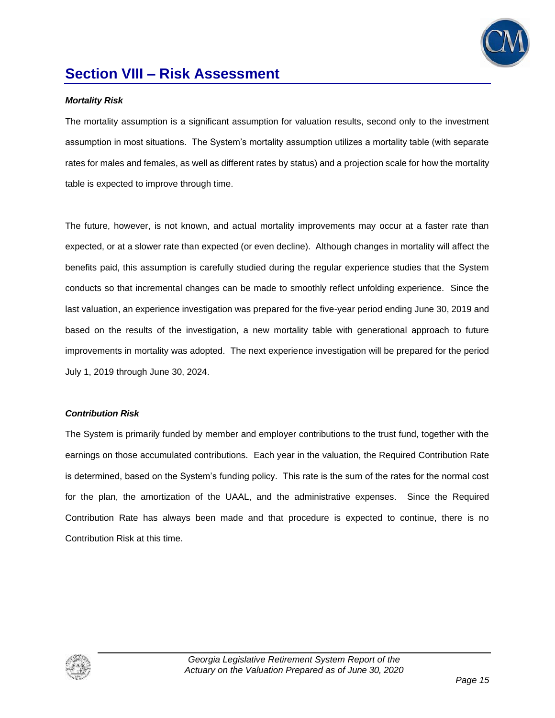

### **Section VIII – Risk Assessment**

#### *Mortality Risk*

The mortality assumption is a significant assumption for valuation results, second only to the investment assumption in most situations. The System's mortality assumption utilizes a mortality table (with separate rates for males and females, as well as different rates by status) and a projection scale for how the mortality table is expected to improve through time.

The future, however, is not known, and actual mortality improvements may occur at a faster rate than expected, or at a slower rate than expected (or even decline). Although changes in mortality will affect the benefits paid, this assumption is carefully studied during the regular experience studies that the System conducts so that incremental changes can be made to smoothly reflect unfolding experience. Since the last valuation, an experience investigation was prepared for the five-year period ending June 30, 2019 and based on the results of the investigation, a new mortality table with generational approach to future improvements in mortality was adopted. The next experience investigation will be prepared for the period July 1, 2019 through June 30, 2024.

#### *Contribution Risk*

The System is primarily funded by member and employer contributions to the trust fund, together with the earnings on those accumulated contributions. Each year in the valuation, the Required Contribution Rate is determined, based on the System's funding policy. This rate is the sum of the rates for the normal cost for the plan, the amortization of the UAAL, and the administrative expenses. Since the Required Contribution Rate has always been made and that procedure is expected to continue, there is no Contribution Risk at this time.

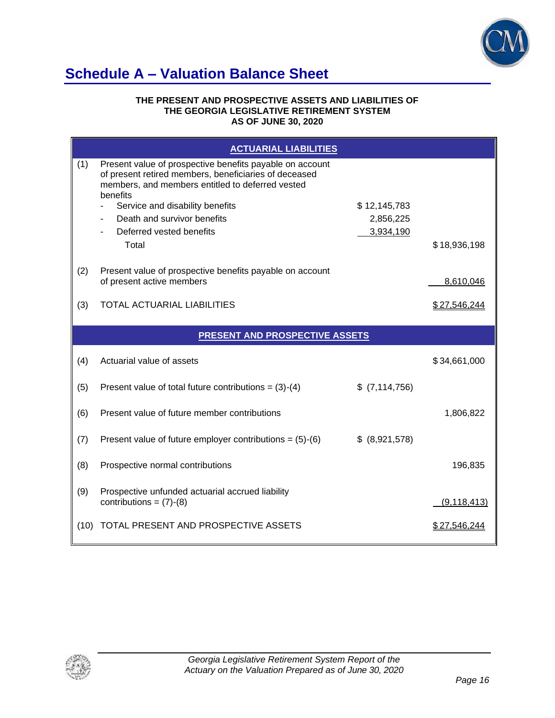

### **Schedule A – Valuation Balance Sheet**

#### **THE PRESENT AND PROSPECTIVE ASSETS AND LIABILITIES OF THE GEORGIA LEGISLATIVE RETIREMENT SYSTEM AS OF JUNE 30, 2020**

|     | <b>ACTUARIAL LIABILITIES</b>                                                                                                                                                      |                 |               |
|-----|-----------------------------------------------------------------------------------------------------------------------------------------------------------------------------------|-----------------|---------------|
| (1) | Present value of prospective benefits payable on account<br>of present retired members, beneficiaries of deceased<br>members, and members entitled to deferred vested<br>benefits |                 |               |
|     | Service and disability benefits                                                                                                                                                   | \$12,145,783    |               |
|     | Death and survivor benefits                                                                                                                                                       | 2,856,225       |               |
|     | Deferred vested benefits<br>Total                                                                                                                                                 | 3,934,190       | \$18,936,198  |
| (2) | Present value of prospective benefits payable on account<br>of present active members                                                                                             |                 | 8,610,046     |
| (3) | TOTAL ACTUARIAL LIABILITIES                                                                                                                                                       |                 | \$27,546,244  |
|     | <b>PRESENT AND PROSPECTIVE ASSETS</b>                                                                                                                                             |                 |               |
|     |                                                                                                                                                                                   |                 |               |
| (4) | Actuarial value of assets                                                                                                                                                         |                 | \$34,661,000  |
| (5) | Present value of total future contributions = $(3)-(4)$                                                                                                                           | $$$ (7,114,756) |               |
| (6) | Present value of future member contributions                                                                                                                                      |                 | 1,806,822     |
| (7) | Present value of future employer contributions = $(5)-(6)$                                                                                                                        | \$ (8,921,578)  |               |
| (8) | Prospective normal contributions                                                                                                                                                  |                 | 196,835       |
| (9) | Prospective unfunded actuarial accrued liability<br>contributions = $(7)-(8)$                                                                                                     |                 | (9, 118, 413) |

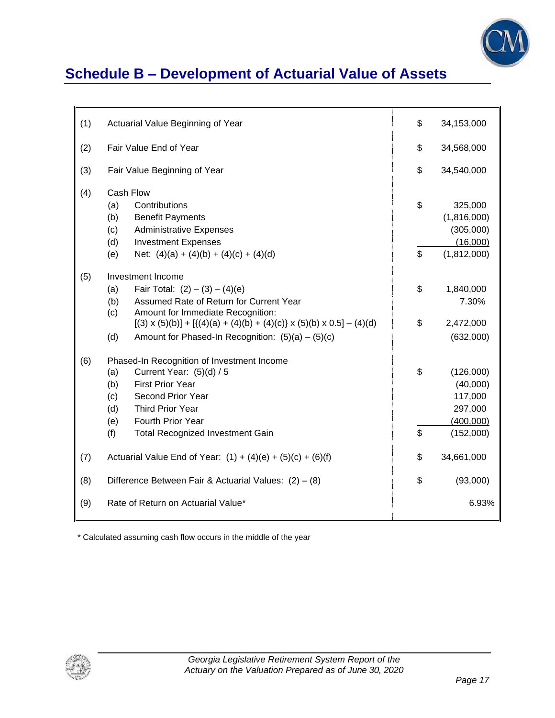

# **Schedule B – Development of Actuarial Value of Assets**

| (1) | Actuarial Value Beginning of Year                                                                                                                                                                                                                                                                                  | \$       | 34,153,000                                                            |
|-----|--------------------------------------------------------------------------------------------------------------------------------------------------------------------------------------------------------------------------------------------------------------------------------------------------------------------|----------|-----------------------------------------------------------------------|
| (2) | Fair Value End of Year                                                                                                                                                                                                                                                                                             | \$       | 34,568,000                                                            |
| (3) | Fair Value Beginning of Year                                                                                                                                                                                                                                                                                       | \$       | 34,540,000                                                            |
| (4) | Cash Flow<br>Contributions<br>(a)<br>(b)<br><b>Benefit Payments</b><br><b>Administrative Expenses</b><br>(c)<br>(d)<br><b>Investment Expenses</b><br>Net: $(4)(a) + (4)(b) + (4)(c) + (4)(d)$<br>(e)                                                                                                               | \$<br>\$ | 325,000<br>(1,816,000)<br>(305,000)<br>(16,000)<br>(1,812,000)        |
| (5) | Investment Income<br>Fair Total: $(2) - (3) - (4)(e)$<br>(a)<br>Assumed Rate of Return for Current Year<br>(b)<br>(c)<br>Amount for Immediate Recognition:<br>$[(3) \times (5)(b)] + [((4)(a) + (4)(b) + (4)(c)] \times (5)(b) \times 0.5] - (4)(d)$<br>(d)<br>Amount for Phased-In Recognition: $(5)(a) - (5)(c)$ | \$<br>\$ | 1,840,000<br>7.30%<br>2,472,000<br>(632,000)                          |
| (6) | Phased-In Recognition of Investment Income<br>Current Year: (5)(d) / 5<br>(a)<br><b>First Prior Year</b><br>(b)<br>Second Prior Year<br>(c)<br>Third Prior Year<br>(d)<br>Fourth Prior Year<br>(e)<br><b>Total Recognized Investment Gain</b><br>(f)                                                               | \$<br>\$ | (126,000)<br>(40,000)<br>117,000<br>297,000<br>(400,000)<br>(152,000) |
| (7) | Actuarial Value End of Year: $(1) + (4)(e) + (5)(c) + (6)(f)$                                                                                                                                                                                                                                                      | \$       | 34,661,000                                                            |
| (8) | Difference Between Fair & Actuarial Values: $(2) - (8)$                                                                                                                                                                                                                                                            | \$       | (93,000)                                                              |
| (9) | Rate of Return on Actuarial Value*                                                                                                                                                                                                                                                                                 |          | 6.93%                                                                 |

\* Calculated assuming cash flow occurs in the middle of the year

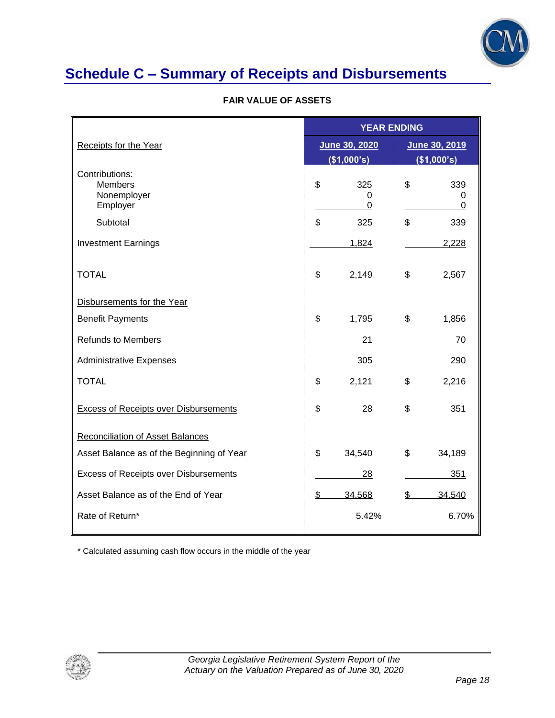

# **Schedule C – Summary of Receipts and Disbursements**

| <b>FAIR VALUE OF ASSETS</b> |  |  |  |
|-----------------------------|--|--|--|
|                             |  |  |  |

|                                                             |                     | <b>YEAR ENDING</b>  |  |  |  |
|-------------------------------------------------------------|---------------------|---------------------|--|--|--|
| <b>Receipts for the Year</b>                                | June 30, 2020       | June 30, 2019       |  |  |  |
|                                                             | (\$1,000's)         | (\$1,000's)         |  |  |  |
| Contributions:<br><b>Members</b><br>Nonemployer<br>Employer | \$<br>325<br>0<br>0 | \$<br>339<br>0<br>0 |  |  |  |
| Subtotal                                                    | \$<br>325           | \$<br>339           |  |  |  |
| <b>Investment Earnings</b>                                  | 1,824               | 2,228               |  |  |  |
| <b>TOTAL</b>                                                | \$<br>2,149         | \$<br>2,567         |  |  |  |
| Disbursements for the Year                                  |                     |                     |  |  |  |
| <b>Benefit Payments</b>                                     | \$<br>1,795         | \$<br>1,856         |  |  |  |
| <b>Refunds to Members</b>                                   | 21                  | 70                  |  |  |  |
| <b>Administrative Expenses</b>                              | 305                 | 290                 |  |  |  |
| <b>TOTAL</b>                                                | \$<br>2,121         | \$<br>2,216         |  |  |  |
| <b>Excess of Receipts over Disbursements</b>                | \$<br>28            | \$<br>351           |  |  |  |
| <b>Reconciliation of Asset Balances</b>                     |                     |                     |  |  |  |
| Asset Balance as of the Beginning of Year                   | \$<br>34,540        | \$<br>34,189        |  |  |  |
| Excess of Receipts over Disbursements                       | 28                  | 351                 |  |  |  |
| Asset Balance as of the End of Year                         | \$<br>34,568        | \$<br>34,540        |  |  |  |
| Rate of Return*                                             | 5.42%               | 6.70%               |  |  |  |

\* Calculated assuming cash flow occurs in the middle of the year

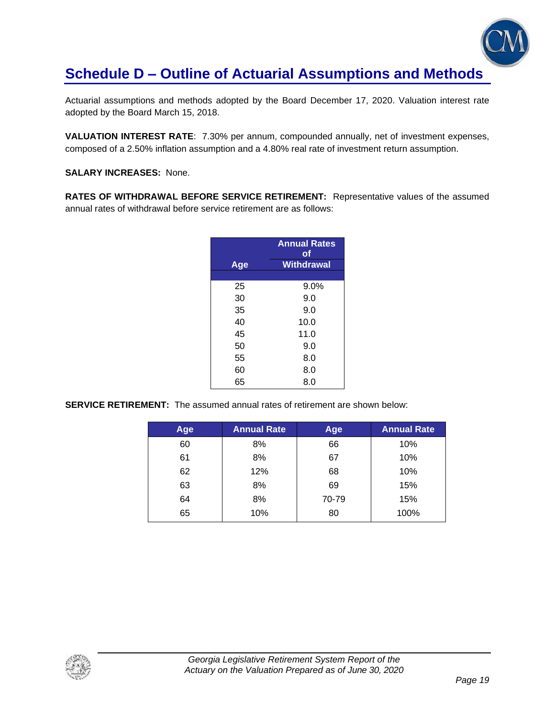

### **Schedule D – Outline of Actuarial Assumptions and Methods**

Actuarial assumptions and methods adopted by the Board December 17, 2020. Valuation interest rate adopted by the Board March 15, 2018.

**VALUATION INTEREST RATE**: 7.30% per annum, compounded annually, net of investment expenses, composed of a 2.50% inflation assumption and a 4.80% real rate of investment return assumption.

**SALARY INCREASES:** None.

**RATES OF WITHDRAWAL BEFORE SERVICE RETIREMENT:** Representative values of the assumed annual rates of withdrawal before service retirement are as follows:

|     | <b>Annual Rates</b><br>оf |
|-----|---------------------------|
| Age | Withdrawal                |
|     |                           |
| 25  | 9.0%                      |
| 30  | 9.0                       |
| 35  | 9.0                       |
| 40  | 10.0                      |
| 45  | 11.0                      |
| 50  | 9.0                       |
| 55  | 8.0                       |
| 60  | 8.0                       |
| 65  | 8.0                       |

**SERVICE RETIREMENT:** The assumed annual rates of retirement are shown below:

| Age | <b>Annual Rate</b> | Age   | <b>Annual Rate</b> |
|-----|--------------------|-------|--------------------|
| 60  | 8%                 | 66    | 10%                |
| 61  | 8%                 | 67    | 10%                |
| 62  | 12%                | 68    | 10%                |
| 63  | 8%                 | 69    | 15%                |
| 64  | 8%                 | 70-79 | 15%                |
| 65  | 10%                | 80    | 100%               |

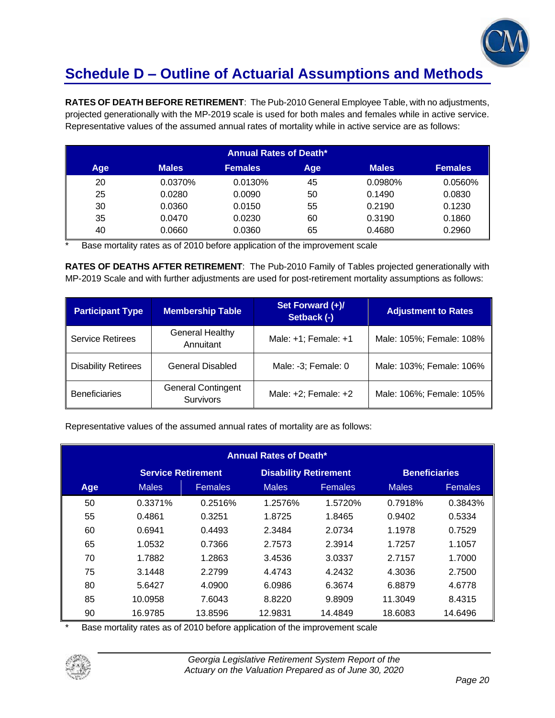

## **Schedule D – Outline of Actuarial Assumptions and Methods**

**RATES OF DEATH BEFORE RETIREMENT**: The Pub-2010 General Employee Table, with no adjustments, projected generationally with the MP-2019 scale is used for both males and females while in active service. Representative values of the assumed annual rates of mortality while in active service are as follows:

|     | <b>Annual Rates of Death*</b> |                |     |              |                |  |  |
|-----|-------------------------------|----------------|-----|--------------|----------------|--|--|
| Age | <b>Males</b>                  | <b>Females</b> | Age | <b>Males</b> | <b>Females</b> |  |  |
| 20  | 0.0370%                       | 0.0130%        | 45  | 0.0980%      | 0.0560%        |  |  |
| 25  | 0.0280                        | 0.0090         | 50  | 0.1490       | 0.0830         |  |  |
| 30  | 0.0360                        | 0.0150         | 55  | 0.2190       | 0.1230         |  |  |
| 35  | 0.0470                        | 0.0230         | 60  | 0.3190       | 0.1860         |  |  |
| 40  | 0.0660                        | 0.0360         | 65  | 0.4680       | 0.2960         |  |  |

Base mortality rates as of 2010 before application of the improvement scale

**RATES OF DEATHS AFTER RETIREMENT**: The Pub-2010 Family of Tables projected generationally with MP-2019 Scale and with further adjustments are used for post-retirement mortality assumptions as follows:

| <b>Participant Type</b>    | <b>Membership Table</b>                       | Set Forward (+)/<br>Setback (-) | <b>Adjustment to Rates</b> |
|----------------------------|-----------------------------------------------|---------------------------------|----------------------------|
| <b>Service Retirees</b>    | <b>General Healthy</b><br>Annuitant           | Male: $+1$ ; Female: $+1$       | Male: 105%; Female: 108%   |
| <b>Disability Retirees</b> | General Disabled                              | Male: -3; Female: 0             | Male: 103%; Female: 106%   |
| <b>Beneficiaries</b>       | <b>General Contingent</b><br><b>Survivors</b> | Male: $+2$ ; Female: $+2$       | Male: 106%; Female: 105%   |

Representative values of the assumed annual rates of mortality are as follows:

| <b>Annual Rates of Death*</b> |                                                                                   |                |              |                |              |                |
|-------------------------------|-----------------------------------------------------------------------------------|----------------|--------------|----------------|--------------|----------------|
|                               | <b>Service Retirement</b><br><b>Disability Retirement</b><br><b>Beneficiaries</b> |                |              |                |              |                |
| Age                           | <b>Males</b>                                                                      | <b>Females</b> | <b>Males</b> | <b>Females</b> | <b>Males</b> | <b>Females</b> |
| 50                            | 0.3371%                                                                           | 0.2516%        | 1.2576%      | 1.5720%        | 0.7918%      | 0.3843%        |
| 55                            | 0.4861                                                                            | 0.3251         | 1.8725       | 1.8465         | 0.9402       | 0.5334         |
| 60                            | 0.6941                                                                            | 0.4493         | 2.3484       | 2.0734         | 1.1978       | 0.7529         |
| 65                            | 1.0532                                                                            | 0.7366         | 2.7573       | 2.3914         | 1.7257       | 1.1057         |
| 70                            | 1.7882                                                                            | 1.2863         | 3.4536       | 3.0337         | 2.7157       | 1.7000         |
| 75                            | 3.1448                                                                            | 2.2799         | 4.4743       | 4.2432         | 4.3036       | 2.7500         |
| 80                            | 5.6427                                                                            | 4.0900         | 6.0986       | 6.3674         | 6.8879       | 4.6778         |
| 85                            | 10.0958                                                                           | 7.6043         | 8.8220       | 9.8909         | 11.3049      | 8.4315         |
| 90                            | 16.9785                                                                           | 13.8596        | 12.9831      | 14.4849        | 18.6083      | 14.6496        |

Base mortality rates as of 2010 before application of the improvement scale

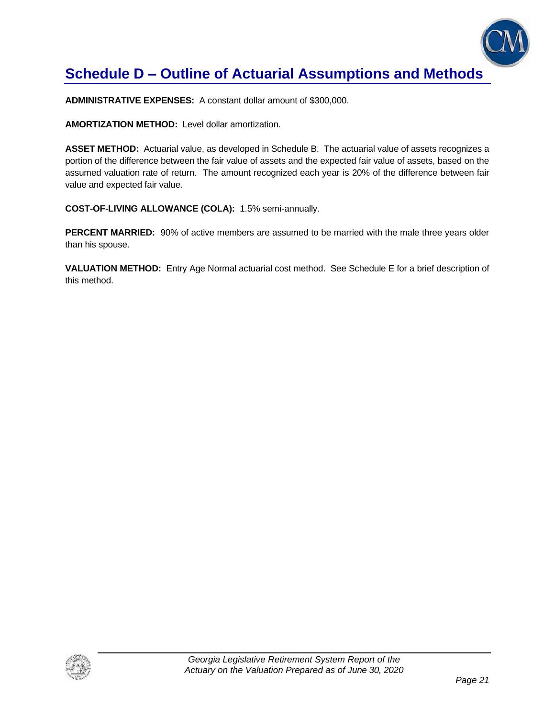

## **Schedule D – Outline of Actuarial Assumptions and Methods**

**ADMINISTRATIVE EXPENSES:** A constant dollar amount of \$300,000.

**AMORTIZATION METHOD:** Level dollar amortization.

**ASSET METHOD:** Actuarial value, as developed in Schedule B. The actuarial value of assets recognizes a portion of the difference between the fair value of assets and the expected fair value of assets, based on the assumed valuation rate of return. The amount recognized each year is 20% of the difference between fair value and expected fair value.

**COST-OF-LIVING ALLOWANCE (COLA):** 1.5% semi-annually.

**PERCENT MARRIED:** 90% of active members are assumed to be married with the male three years older than his spouse.

**VALUATION METHOD:** Entry Age Normal actuarial cost method. See Schedule E for a brief description of this method.

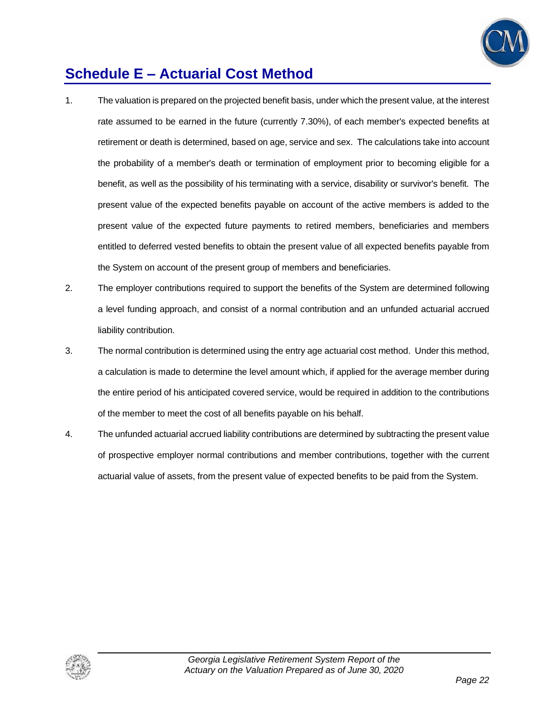

### **Schedule E – Actuarial Cost Method**

- 1. The valuation is prepared on the projected benefit basis, under which the present value, at the interest rate assumed to be earned in the future (currently 7.30%), of each member's expected benefits at retirement or death is determined, based on age, service and sex. The calculations take into account the probability of a member's death or termination of employment prior to becoming eligible for a benefit, as well as the possibility of his terminating with a service, disability or survivor's benefit. The present value of the expected benefits payable on account of the active members is added to the present value of the expected future payments to retired members, beneficiaries and members entitled to deferred vested benefits to obtain the present value of all expected benefits payable from the System on account of the present group of members and beneficiaries.
- 2. The employer contributions required to support the benefits of the System are determined following a level funding approach, and consist of a normal contribution and an unfunded actuarial accrued liability contribution.
- 3. The normal contribution is determined using the entry age actuarial cost method. Under this method, a calculation is made to determine the level amount which, if applied for the average member during the entire period of his anticipated covered service, would be required in addition to the contributions of the member to meet the cost of all benefits payable on his behalf.
- 4. The unfunded actuarial accrued liability contributions are determined by subtracting the present value of prospective employer normal contributions and member contributions, together with the current actuarial value of assets, from the present value of expected benefits to be paid from the System.

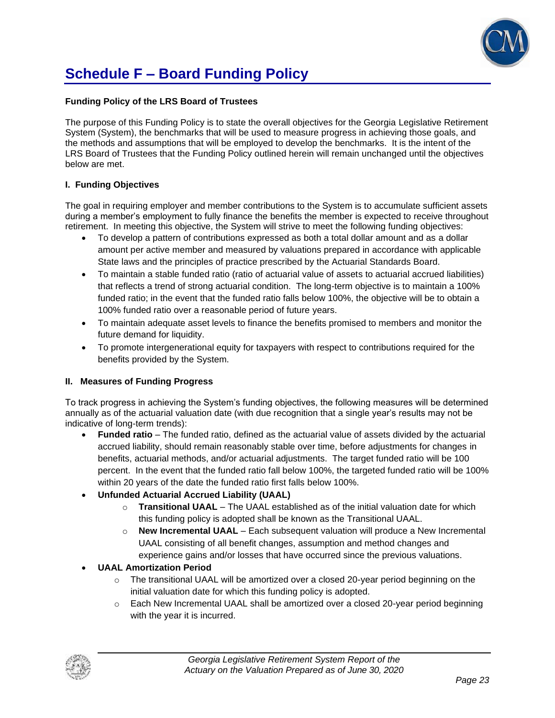

## **Schedule F – Board Funding Policy**

#### **Funding Policy of the LRS Board of Trustees**

The purpose of this Funding Policy is to state the overall objectives for the Georgia Legislative Retirement System (System), the benchmarks that will be used to measure progress in achieving those goals, and the methods and assumptions that will be employed to develop the benchmarks. It is the intent of the LRS Board of Trustees that the Funding Policy outlined herein will remain unchanged until the objectives below are met.

#### **I. Funding Objectives**

The goal in requiring employer and member contributions to the System is to accumulate sufficient assets during a member's employment to fully finance the benefits the member is expected to receive throughout retirement. In meeting this objective, the System will strive to meet the following funding objectives:

- To develop a pattern of contributions expressed as both a total dollar amount and as a dollar amount per active member and measured by valuations prepared in accordance with applicable State laws and the principles of practice prescribed by the Actuarial Standards Board.
- To maintain a stable funded ratio (ratio of actuarial value of assets to actuarial accrued liabilities) that reflects a trend of strong actuarial condition. The long-term objective is to maintain a 100% funded ratio; in the event that the funded ratio falls below 100%, the objective will be to obtain a 100% funded ratio over a reasonable period of future years.
- To maintain adequate asset levels to finance the benefits promised to members and monitor the future demand for liquidity.
- To promote intergenerational equity for taxpayers with respect to contributions required for the benefits provided by the System.

#### **II. Measures of Funding Progress**

To track progress in achieving the System's funding objectives, the following measures will be determined annually as of the actuarial valuation date (with due recognition that a single year's results may not be indicative of long-term trends):

- **Funded ratio** The funded ratio, defined as the actuarial value of assets divided by the actuarial accrued liability, should remain reasonably stable over time, before adjustments for changes in benefits, actuarial methods, and/or actuarial adjustments. The target funded ratio will be 100 percent. In the event that the funded ratio fall below 100%, the targeted funded ratio will be 100% within 20 years of the date the funded ratio first falls below 100%.
- **Unfunded Actuarial Accrued Liability (UAAL)**
	- o **Transitional UAAL** The UAAL established as of the initial valuation date for which this funding policy is adopted shall be known as the Transitional UAAL.
	- o **New Incremental UAAL** Each subsequent valuation will produce a New Incremental UAAL consisting of all benefit changes, assumption and method changes and experience gains and/or losses that have occurred since the previous valuations.

#### • **UAAL Amortization Period**

- $\circ$  The transitional UAAL will be amortized over a closed 20-year period beginning on the initial valuation date for which this funding policy is adopted.
- $\circ$  Each New Incremental UAAL shall be amortized over a closed 20-year period beginning with the year it is incurred.

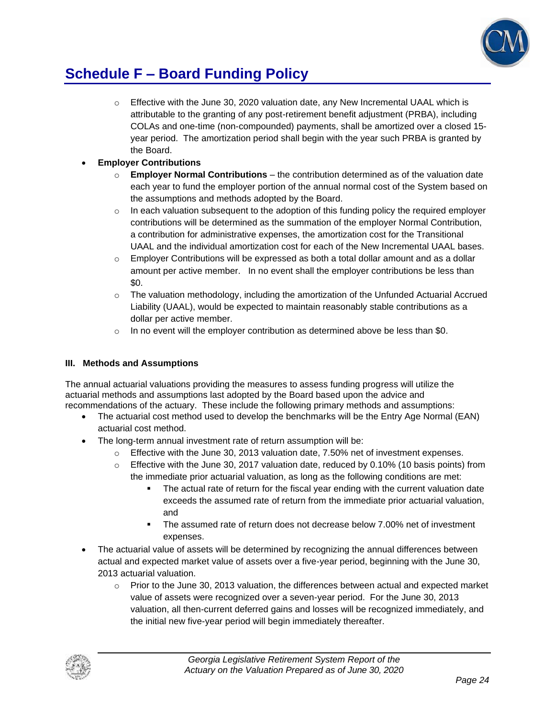

### **Schedule F – Board Funding Policy**

 $\circ$  Effective with the June 30, 2020 valuation date, any New Incremental UAAL which is attributable to the granting of any post-retirement benefit adjustment (PRBA), including COLAs and one-time (non-compounded) payments, shall be amortized over a closed 15 year period. The amortization period shall begin with the year such PRBA is granted by the Board.

### • **Employer Contributions**

- o **Employer Normal Contributions**  the contribution determined as of the valuation date each year to fund the employer portion of the annual normal cost of the System based on the assumptions and methods adopted by the Board.
- $\circ$  In each valuation subsequent to the adoption of this funding policy the required employer contributions will be determined as the summation of the employer Normal Contribution, a contribution for administrative expenses, the amortization cost for the Transitional UAAL and the individual amortization cost for each of the New Incremental UAAL bases.
- $\circ$  Employer Contributions will be expressed as both a total dollar amount and as a dollar amount per active member. In no event shall the employer contributions be less than \$0.
- o The valuation methodology, including the amortization of the Unfunded Actuarial Accrued Liability (UAAL), would be expected to maintain reasonably stable contributions as a dollar per active member.
- $\circ$  In no event will the employer contribution as determined above be less than \$0.

### **III. Methods and Assumptions**

The annual actuarial valuations providing the measures to assess funding progress will utilize the actuarial methods and assumptions last adopted by the Board based upon the advice and recommendations of the actuary. These include the following primary methods and assumptions:

- The actuarial cost method used to develop the benchmarks will be the Entry Age Normal (EAN) actuarial cost method.
- The long-term annual investment rate of return assumption will be:
	- $\circ$  Effective with the June 30, 2013 valuation date, 7.50% net of investment expenses.
	- $\circ$  Effective with the June 30, 2017 valuation date, reduced by 0.10% (10 basis points) from the immediate prior actuarial valuation, as long as the following conditions are met:
		- The actual rate of return for the fiscal year ending with the current valuation date exceeds the assumed rate of return from the immediate prior actuarial valuation, and
		- The assumed rate of return does not decrease below 7.00% net of investment expenses.
- The actuarial value of assets will be determined by recognizing the annual differences between actual and expected market value of assets over a five-year period, beginning with the June 30, 2013 actuarial valuation.
	- $\circ$  Prior to the June 30, 2013 valuation, the differences between actual and expected market value of assets were recognized over a seven-year period. For the June 30, 2013 valuation, all then-current deferred gains and losses will be recognized immediately, and the initial new five-year period will begin immediately thereafter.

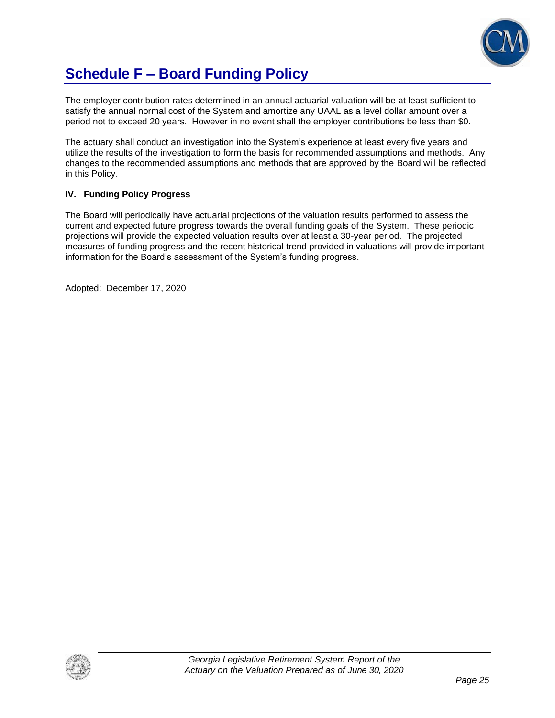

### **Schedule F – Board Funding Policy**

The employer contribution rates determined in an annual actuarial valuation will be at least sufficient to satisfy the annual normal cost of the System and amortize any UAAL as a level dollar amount over a period not to exceed 20 years. However in no event shall the employer contributions be less than \$0.

The actuary shall conduct an investigation into the System's experience at least every five years and utilize the results of the investigation to form the basis for recommended assumptions and methods. Any changes to the recommended assumptions and methods that are approved by the Board will be reflected in this Policy.

#### **IV. Funding Policy Progress**

The Board will periodically have actuarial projections of the valuation results performed to assess the current and expected future progress towards the overall funding goals of the System. These periodic projections will provide the expected valuation results over at least a 30-year period. The projected measures of funding progress and the recent historical trend provided in valuations will provide important information for the Board's assessment of the System's funding progress.

Adopted: December 17, 2020

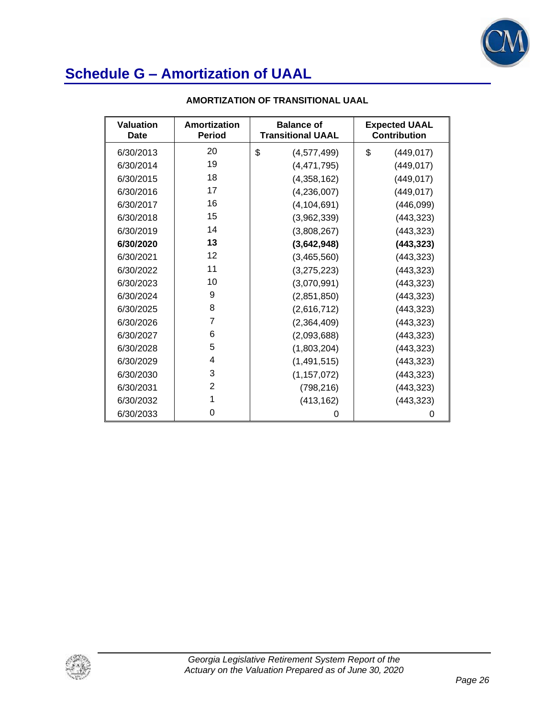

| <b>Valuation</b><br>Date | Amortization<br><b>Period</b> | <b>Balance of</b><br><b>Transitional UAAL</b> | <b>Expected UAAL</b><br><b>Contribution</b> |
|--------------------------|-------------------------------|-----------------------------------------------|---------------------------------------------|
| 6/30/2013                | 20                            | \$<br>(4,577,499)                             | \$<br>(449, 017)                            |
| 6/30/2014                | 19                            | (4,471,795)                                   | (449, 017)                                  |
| 6/30/2015                | 18                            | (4,358,162)                                   | (449, 017)                                  |
| 6/30/2016                | 17                            | (4,236,007)                                   | (449, 017)                                  |
| 6/30/2017                | 16                            | (4, 104, 691)                                 | (446, 099)                                  |
| 6/30/2018                | 15                            | (3,962,339)                                   | (443, 323)                                  |
| 6/30/2019                | 14                            | (3,808,267)                                   | (443, 323)                                  |
| 6/30/2020                | 13                            | (3,642,948)                                   | (443, 323)                                  |
| 6/30/2021                | 12                            | (3,465,560)                                   | (443, 323)                                  |
| 6/30/2022                | 11                            | (3,275,223)                                   | (443, 323)                                  |
| 6/30/2023                | 10                            | (3,070,991)                                   | (443, 323)                                  |
| 6/30/2024                | 9                             | (2,851,850)                                   | (443, 323)                                  |
| 6/30/2025                | 8                             | (2,616,712)                                   | (443, 323)                                  |
| 6/30/2026                | 7                             | (2,364,409)                                   | (443, 323)                                  |
| 6/30/2027                | 6                             | (2,093,688)                                   | (443, 323)                                  |
| 6/30/2028                | 5                             | (1,803,204)                                   | (443, 323)                                  |
| 6/30/2029                | 4                             | (1, 491, 515)                                 | (443, 323)                                  |
| 6/30/2030                | 3                             | (1, 157, 072)                                 | (443, 323)                                  |
| 6/30/2031                | $\overline{2}$                | (798, 216)                                    | (443, 323)                                  |
| 6/30/2032                | 1                             | (413, 162)                                    | (443, 323)                                  |
| 6/30/2033                | 0                             | 0                                             | 0                                           |

#### **AMORTIZATION OF TRANSITIONAL UAAL**

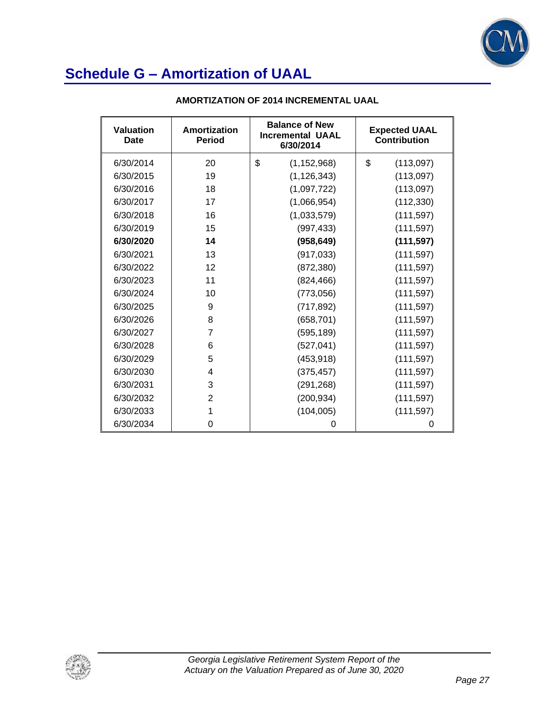

| <b>Valuation</b><br>Date | Amortization<br><b>Period</b> | <b>Balance of New</b><br><b>Incremental UAAL</b><br>6/30/2014 | <b>Expected UAAL</b><br><b>Contribution</b> |
|--------------------------|-------------------------------|---------------------------------------------------------------|---------------------------------------------|
| 6/30/2014                | 20                            | \$<br>(1, 152, 968)                                           | \$<br>(113,097)                             |
| 6/30/2015                | 19                            | (1, 126, 343)                                                 | (113,097)                                   |
| 6/30/2016                | 18                            | (1,097,722)                                                   | (113,097)                                   |
| 6/30/2017                | 17                            | (1,066,954)                                                   | (112, 330)                                  |
| 6/30/2018                | 16                            | (1,033,579)                                                   | (111, 597)                                  |
| 6/30/2019                | 15                            | (997, 433)                                                    | (111, 597)                                  |
| 6/30/2020                | 14                            | (958, 649)                                                    | (111, 597)                                  |
| 6/30/2021                | 13                            | (917, 033)                                                    | (111, 597)                                  |
| 6/30/2022                | 12                            | (872, 380)                                                    | (111, 597)                                  |
| 6/30/2023                | 11                            | (824, 466)                                                    | (111, 597)                                  |
| 6/30/2024                | 10                            | (773,056)                                                     | (111, 597)                                  |
| 6/30/2025                | 9                             | (717, 892)                                                    | (111, 597)                                  |
| 6/30/2026                | 8                             | (658, 701)                                                    | (111, 597)                                  |
| 6/30/2027                | 7                             | (595, 189)                                                    | (111, 597)                                  |
| 6/30/2028                | 6                             | (527, 041)                                                    | (111, 597)                                  |
| 6/30/2029                | 5                             | (453, 918)                                                    | (111, 597)                                  |
| 6/30/2030                | 4                             | (375, 457)                                                    | (111, 597)                                  |
| 6/30/2031                | 3                             | (291, 268)                                                    | (111, 597)                                  |
| 6/30/2032                | 2                             | (200, 934)                                                    | (111, 597)                                  |
| 6/30/2033                | 1                             | (104, 005)                                                    | (111, 597)                                  |
| 6/30/2034                | 0                             | 0                                                             | O                                           |

#### **AMORTIZATION OF 2014 INCREMENTAL UAAL**

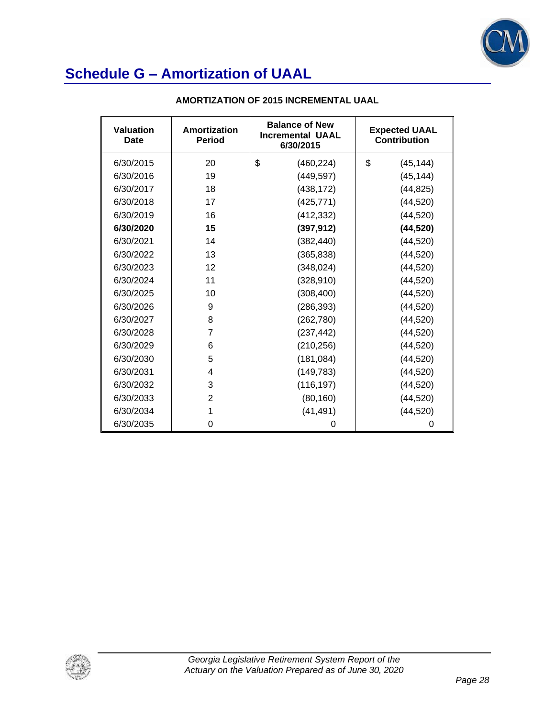

| <b>Valuation</b><br>Date | Amortization<br><b>Period</b> | <b>Balance of New</b><br><b>Incremental UAAL</b><br>6/30/2015 | <b>Expected UAAL</b><br><b>Contribution</b> |
|--------------------------|-------------------------------|---------------------------------------------------------------|---------------------------------------------|
| 6/30/2015                | 20                            | \$<br>(460, 224)                                              | \$<br>(45, 144)                             |
| 6/30/2016                | 19                            | (449, 597)                                                    | (45, 144)                                   |
| 6/30/2017                | 18                            | (438, 172)                                                    | (44, 825)                                   |
| 6/30/2018                | 17                            | (425, 771)                                                    | (44, 520)                                   |
| 6/30/2019                | 16                            | (412, 332)                                                    | (44, 520)                                   |
| 6/30/2020                | 15                            | (397, 912)                                                    | (44, 520)                                   |
| 6/30/2021                | 14                            | (382, 440)                                                    | (44, 520)                                   |
| 6/30/2022                | 13                            | (365, 838)                                                    | (44, 520)                                   |
| 6/30/2023                | 12                            | (348, 024)                                                    | (44, 520)                                   |
| 6/30/2024                | 11                            | (328, 910)                                                    | (44, 520)                                   |
| 6/30/2025                | 10                            | (308, 400)                                                    | (44, 520)                                   |
| 6/30/2026                | 9                             | (286, 393)                                                    | (44, 520)                                   |
| 6/30/2027                | 8                             | (262, 780)                                                    | (44, 520)                                   |
| 6/30/2028                | $\overline{7}$                | (237, 442)                                                    | (44, 520)                                   |
| 6/30/2029                | 6                             | (210, 256)                                                    | (44, 520)                                   |
| 6/30/2030                | 5                             | (181, 084)                                                    | (44, 520)                                   |
| 6/30/2031                | 4                             | (149, 783)                                                    | (44, 520)                                   |
| 6/30/2032                | 3                             | (116, 197)                                                    | (44, 520)                                   |
| 6/30/2033                | $\overline{2}$                | (80, 160)                                                     | (44, 520)                                   |
| 6/30/2034                | 1                             | (41, 491)                                                     | (44, 520)                                   |
| 6/30/2035                | 0                             | 0                                                             | 0                                           |

#### **AMORTIZATION OF 2015 INCREMENTAL UAAL**

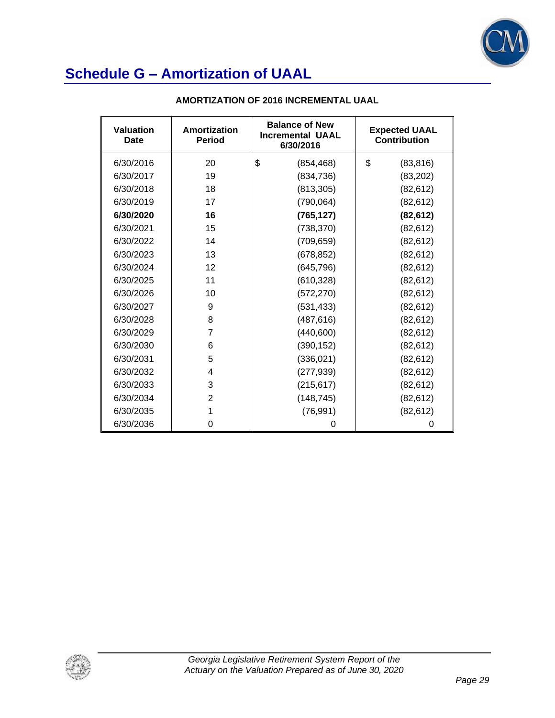

| <b>Valuation</b><br>Date | Amortization<br><b>Period</b> | <b>Balance of New</b><br><b>Incremental UAAL</b><br>6/30/2016 | <b>Expected UAAL</b><br>Contribution |
|--------------------------|-------------------------------|---------------------------------------------------------------|--------------------------------------|
| 6/30/2016                | 20                            | \$<br>(854, 468)                                              | \$<br>(83, 816)                      |
| 6/30/2017                | 19                            | (834, 736)                                                    | (83, 202)                            |
| 6/30/2018                | 18                            | (813, 305)                                                    | (82, 612)                            |
| 6/30/2019                | 17                            | (790, 064)                                                    | (82, 612)                            |
| 6/30/2020                | 16                            | (765, 127)                                                    | (82, 612)                            |
| 6/30/2021                | 15                            | (738, 370)                                                    | (82, 612)                            |
| 6/30/2022                | 14                            | (709, 659)                                                    | (82, 612)                            |
| 6/30/2023                | 13                            | (678, 852)                                                    | (82, 612)                            |
| 6/30/2024                | 12                            | (645, 796)                                                    | (82, 612)                            |
| 6/30/2025                | 11                            | (610, 328)                                                    | (82, 612)                            |
| 6/30/2026                | 10                            | (572, 270)                                                    | (82, 612)                            |
| 6/30/2027                | 9                             | (531, 433)                                                    | (82, 612)                            |
| 6/30/2028                | 8                             | (487, 616)                                                    | (82, 612)                            |
| 6/30/2029                | 7                             | (440,600)                                                     | (82, 612)                            |
| 6/30/2030                | 6                             | (390, 152)                                                    | (82, 612)                            |
| 6/30/2031                | 5                             | (336, 021)                                                    | (82, 612)                            |
| 6/30/2032                | 4                             | (277, 939)                                                    | (82, 612)                            |
| 6/30/2033                | 3                             | (215, 617)                                                    | (82, 612)                            |
| 6/30/2034                | $\overline{2}$                | (148, 745)                                                    | (82, 612)                            |
| 6/30/2035                | 1                             | (76, 991)                                                     | (82, 612)                            |
| 6/30/2036                | 0                             | 0                                                             | 0                                    |

#### **AMORTIZATION OF 2016 INCREMENTAL UAAL**

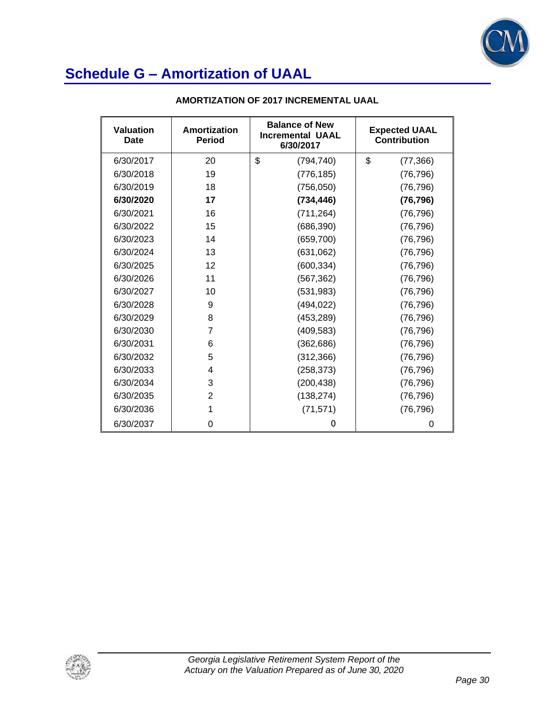

| <b>Valuation</b><br>Date | Amortization<br><b>Period</b> | <b>Balance of New</b><br><b>Incremental UAAL</b><br>6/30/2017 | <b>Expected UAAL</b><br><b>Contribution</b> |
|--------------------------|-------------------------------|---------------------------------------------------------------|---------------------------------------------|
| 6/30/2017                | 20                            | \$<br>(794, 740)                                              | \$<br>(77, 366)                             |
| 6/30/2018                | 19                            | (776, 185)                                                    | (76, 796)                                   |
| 6/30/2019                | 18                            | (756, 050)                                                    | (76, 796)                                   |
| 6/30/2020                | 17                            | (734, 446)                                                    | (76, 796)                                   |
| 6/30/2021                | 16                            | (711, 264)                                                    | (76, 796)                                   |
| 6/30/2022                | 15                            | (686, 390)                                                    | (76, 796)                                   |
| 6/30/2023                | 14                            | (659, 700)                                                    | (76, 796)                                   |
| 6/30/2024                | 13                            | (631,062)                                                     | (76, 796)                                   |
| 6/30/2025                | 12                            | (600, 334)                                                    | (76, 796)                                   |
| 6/30/2026                | 11                            | (567, 362)                                                    | (76, 796)                                   |
| 6/30/2027                | 10                            | (531, 983)                                                    | (76, 796)                                   |
| 6/30/2028                | 9                             | (494, 022)                                                    | (76, 796)                                   |
| 6/30/2029                | 8                             | (453, 289)                                                    | (76, 796)                                   |
| 6/30/2030                | 7                             | (409, 583)                                                    | (76, 796)                                   |
| 6/30/2031                | 6                             | (362, 686)                                                    | (76, 796)                                   |
| 6/30/2032                | 5                             | (312, 366)                                                    | (76, 796)                                   |
| 6/30/2033                | 4                             | (258, 373)                                                    | (76, 796)                                   |
| 6/30/2034                | 3                             | (200, 438)                                                    | (76, 796)                                   |
| 6/30/2035                | 2                             | (138, 274)                                                    | (76, 796)                                   |
| 6/30/2036                | 1                             | (71, 571)                                                     | (76, 796)                                   |
| 6/30/2037                | 0                             | 0                                                             | 0                                           |

#### **AMORTIZATION OF 2017 INCREMENTAL UAAL**

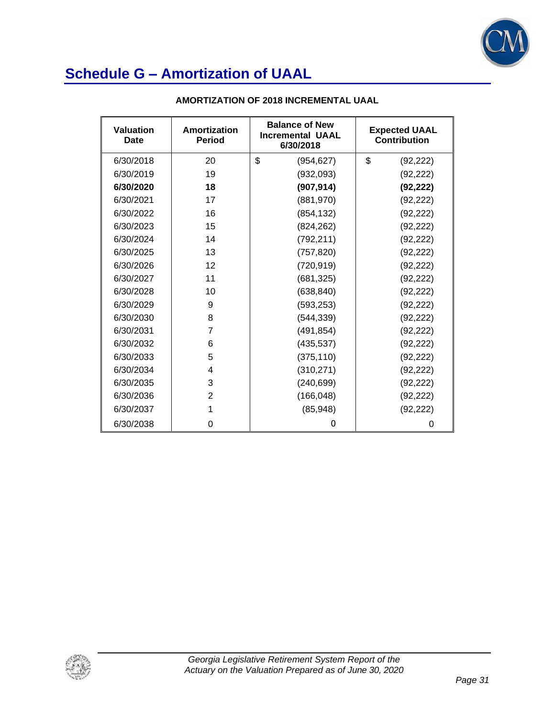

| Valuation<br>Date | Amortization<br><b>Period</b> | <b>Balance of New</b><br><b>Incremental UAAL</b><br>6/30/2018 | <b>Expected UAAL</b><br><b>Contribution</b> |
|-------------------|-------------------------------|---------------------------------------------------------------|---------------------------------------------|
| 6/30/2018         | 20                            | \$<br>(954, 627)                                              | \$<br>(92, 222)                             |
| 6/30/2019         | 19                            | (932,093)                                                     | (92, 222)                                   |
| 6/30/2020         | 18                            | (907, 914)                                                    | (92, 222)                                   |
| 6/30/2021         | 17                            | (881, 970)                                                    | (92, 222)                                   |
| 6/30/2022         | 16                            | (854, 132)                                                    | (92, 222)                                   |
| 6/30/2023         | 15                            | (824, 262)                                                    | (92, 222)                                   |
| 6/30/2024         | 14                            | (792, 211)                                                    | (92, 222)                                   |
| 6/30/2025         | 13                            | (757, 820)                                                    | (92, 222)                                   |
| 6/30/2026         | 12                            | (720, 919)                                                    | (92, 222)                                   |
| 6/30/2027         | 11                            | (681, 325)                                                    | (92, 222)                                   |
| 6/30/2028         | 10                            | (638, 840)                                                    | (92, 222)                                   |
| 6/30/2029         | 9                             | (593, 253)                                                    | (92, 222)                                   |
| 6/30/2030         | 8                             | (544, 339)                                                    | (92, 222)                                   |
| 6/30/2031         | $\overline{7}$                | (491, 854)                                                    | (92, 222)                                   |
| 6/30/2032         | 6                             | (435, 537)                                                    | (92, 222)                                   |
| 6/30/2033         | 5                             | (375, 110)                                                    | (92, 222)                                   |
| 6/30/2034         | 4                             | (310, 271)                                                    | (92, 222)                                   |
| 6/30/2035         | 3                             | (240, 699)                                                    | (92, 222)                                   |
| 6/30/2036         | $\overline{2}$                | (166, 048)                                                    | (92, 222)                                   |
| 6/30/2037         | 1                             | (85, 948)                                                     | (92, 222)                                   |
| 6/30/2038         | 0                             | 0                                                             | 0                                           |

#### **AMORTIZATION OF 2018 INCREMENTAL UAAL**

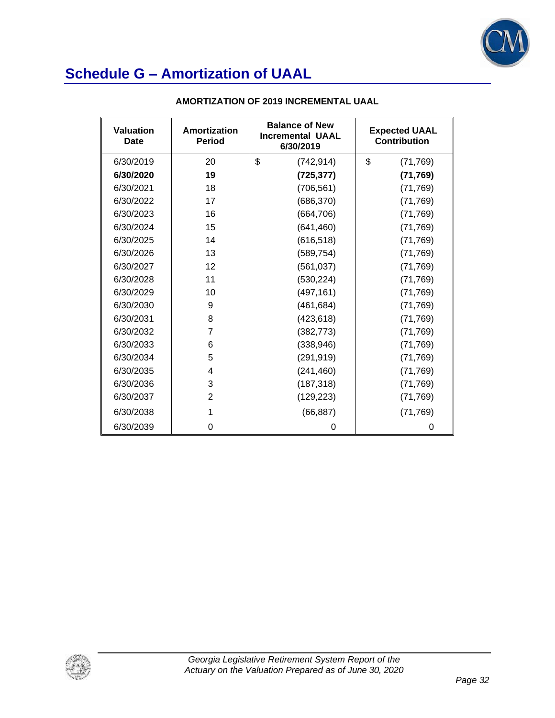

| Valuation<br>Date | Amortization<br><b>Period</b> | <b>Balance of New</b><br><b>Incremental UAAL</b><br>6/30/2019 | <b>Expected UAAL</b><br><b>Contribution</b> |
|-------------------|-------------------------------|---------------------------------------------------------------|---------------------------------------------|
| 6/30/2019         | 20                            | \$<br>(742, 914)                                              | \$<br>(71, 769)                             |
| 6/30/2020         | 19                            | (725, 377)                                                    | (71, 769)                                   |
| 6/30/2021         | 18                            | (706, 561)                                                    | (71, 769)                                   |
| 6/30/2022         | 17                            | (686, 370)                                                    | (71, 769)                                   |
| 6/30/2023         | 16                            | (664, 706)                                                    | (71, 769)                                   |
| 6/30/2024         | 15                            | (641, 460)                                                    | (71, 769)                                   |
| 6/30/2025         | 14                            | (616, 518)                                                    | (71, 769)                                   |
| 6/30/2026         | 13                            | (589, 754)                                                    | (71, 769)                                   |
| 6/30/2027         | 12                            | (561, 037)                                                    | (71, 769)                                   |
| 6/30/2028         | 11                            | (530, 224)                                                    | (71, 769)                                   |
| 6/30/2029         | 10                            | (497, 161)                                                    | (71, 769)                                   |
| 6/30/2030         | 9                             | (461, 684)                                                    | (71, 769)                                   |
| 6/30/2031         | 8                             | (423, 618)                                                    | (71, 769)                                   |
| 6/30/2032         | 7                             | (382, 773)                                                    | (71, 769)                                   |
| 6/30/2033         | 6                             | (338, 946)                                                    | (71, 769)                                   |
| 6/30/2034         | 5                             | (291, 919)                                                    | (71, 769)                                   |
| 6/30/2035         | 4                             | (241, 460)                                                    | (71, 769)                                   |
| 6/30/2036         | 3                             | (187, 318)                                                    | (71, 769)                                   |
| 6/30/2037         | 2                             | (129, 223)                                                    | (71, 769)                                   |
| 6/30/2038         | 1                             | (66, 887)                                                     | (71, 769)                                   |
| 6/30/2039         | 0                             | 0                                                             | 0                                           |

#### **AMORTIZATION OF 2019 INCREMENTAL UAAL**

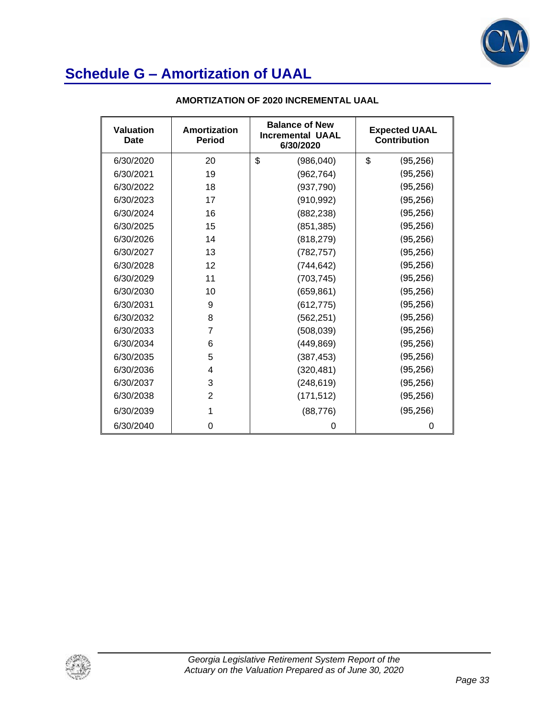

| <b>Valuation</b><br>Date | Amortization<br><b>Period</b> | <b>Balance of New</b><br><b>Incremental UAAL</b><br>6/30/2020 | <b>Expected UAAL</b><br>Contribution |
|--------------------------|-------------------------------|---------------------------------------------------------------|--------------------------------------|
| 6/30/2020                | 20                            | \$<br>(986, 040)                                              | \$<br>(95, 256)                      |
| 6/30/2021                | 19                            | (962, 764)                                                    | (95, 256)                            |
| 6/30/2022                | 18                            | (937,790)                                                     | (95, 256)                            |
| 6/30/2023                | 17                            | (910, 992)                                                    | (95, 256)                            |
| 6/30/2024                | 16                            | (882, 238)                                                    | (95, 256)                            |
| 6/30/2025                | 15                            | (851, 385)                                                    | (95, 256)                            |
| 6/30/2026                | 14                            | (818, 279)                                                    | (95, 256)                            |
| 6/30/2027                | 13                            | (782, 757)                                                    | (95, 256)                            |
| 6/30/2028                | 12                            | (744, 642)                                                    | (95, 256)                            |
| 6/30/2029                | 11                            | (703, 745)                                                    | (95, 256)                            |
| 6/30/2030                | 10                            | (659, 861)                                                    | (95, 256)                            |
| 6/30/2031                | 9                             | (612, 775)                                                    | (95, 256)                            |
| 6/30/2032                | 8                             | (562, 251)                                                    | (95, 256)                            |
| 6/30/2033                | 7                             | (508, 039)                                                    | (95, 256)                            |
| 6/30/2034                | 6                             | (449, 869)                                                    | (95, 256)                            |
| 6/30/2035                | 5                             | (387, 453)                                                    | (95, 256)                            |
| 6/30/2036                | 4                             | (320, 481)                                                    | (95, 256)                            |
| 6/30/2037                | 3                             | (248, 619)                                                    | (95, 256)                            |
| 6/30/2038                | $\overline{2}$                | (171, 512)                                                    | (95, 256)                            |
| 6/30/2039                |                               | (88, 776)                                                     | (95, 256)                            |
| 6/30/2040                | 0                             | 0                                                             | 0                                    |

#### **AMORTIZATION OF 2020 INCREMENTAL UAAL**

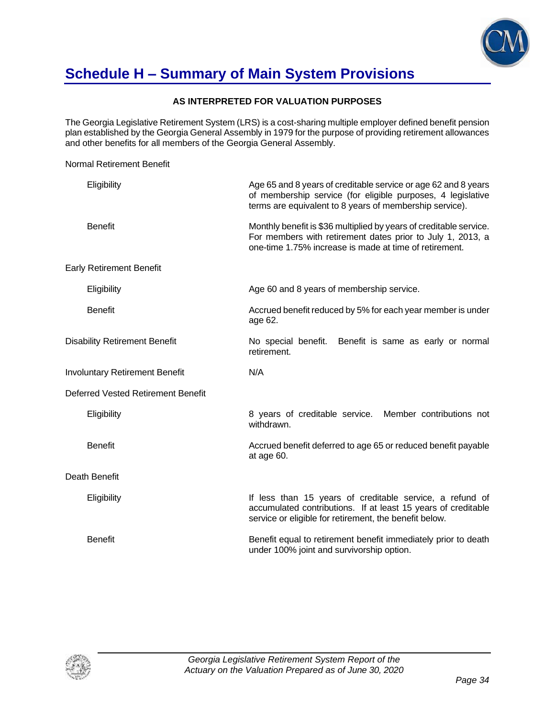

### **Schedule H – Summary of Main System Provisions**

Normal Retirement Benefit

#### **AS INTERPRETED FOR VALUATION PURPOSES**

The Georgia Legislative Retirement System (LRS) is a cost-sharing multiple employer defined benefit pension plan established by the Georgia General Assembly in 1979 for the purpose of providing retirement allowances and other benefits for all members of the Georgia General Assembly.

Eligibility Age 65 and 8 years of creditable service or age 62 and 8 years of membership service (for eligible purposes, 4 legislative terms are equivalent to 8 years of membership service). Benefit **Example 20 and The Monthly benefit is \$36 multiplied by years of creditable service.** For members with retirement dates prior to July 1, 2013, a one-time 1.75% increase is made at time of retirement. Early Retirement Benefit Eligibility **Age 60 and 8 years of membership service.** Benefit **Accrued benefit reduced by 5% for each year member is under** is under age 62. Disability Retirement Benefit No special benefit. Benefit is same as early or normal retirement. Involuntary Retirement Benefit N/A Deferred Vested Retirement Benefit Eligibility 8 years of creditable service. Member contributions not withdrawn. Benefit **Accrued benefit deferred to age 65 or reduced benefit payable Benefit** payable at age 60. Death Benefit Eligibility **If less than 15 years of creditable service**, a refund of accumulated contributions. If at least 15 years of creditable service or eligible for retirement, the benefit below. Benefit Benefit equal to retirement benefit immediately prior to death under 100% joint and survivorship option.

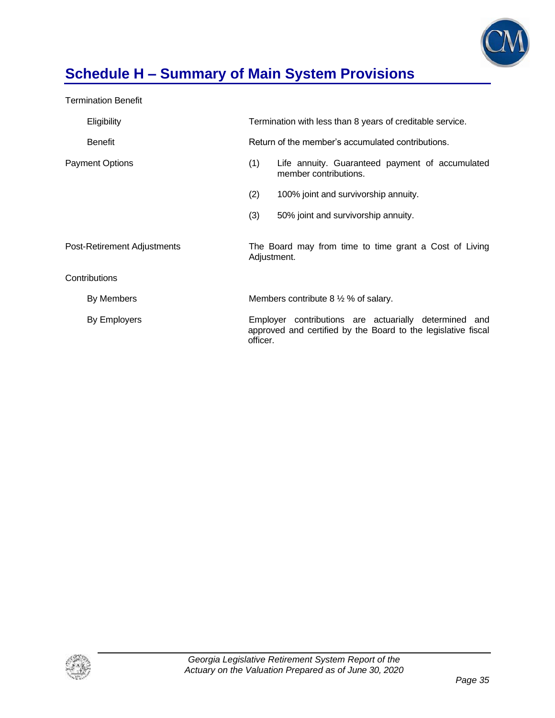

# **Schedule H – Summary of Main System Provisions**

Termination Benefit

|                             | Eligibility            | Termination with less than 8 years of creditable service.                                                                          |                                                                          |  |  |  |
|-----------------------------|------------------------|------------------------------------------------------------------------------------------------------------------------------------|--------------------------------------------------------------------------|--|--|--|
|                             | <b>Benefit</b>         |                                                                                                                                    | Return of the member's accumulated contributions.                        |  |  |  |
|                             | <b>Payment Options</b> | (1)                                                                                                                                | Life annuity. Guaranteed payment of accumulated<br>member contributions. |  |  |  |
|                             |                        | (2)                                                                                                                                | 100% joint and survivorship annuity.                                     |  |  |  |
|                             |                        | (3)                                                                                                                                | 50% joint and survivorship annuity.                                      |  |  |  |
| Post-Retirement Adjustments |                        | The Board may from time to time grant a Cost of Living<br>Adjustment.                                                              |                                                                          |  |  |  |
|                             | Contributions          |                                                                                                                                    |                                                                          |  |  |  |
|                             | By Members             |                                                                                                                                    | Members contribute $8\frac{1}{2}\%$ of salary.                           |  |  |  |
|                             | By Employers           | Employer contributions are actuarially determined and<br>approved and certified by the Board to the legislative fiscal<br>officer. |                                                                          |  |  |  |

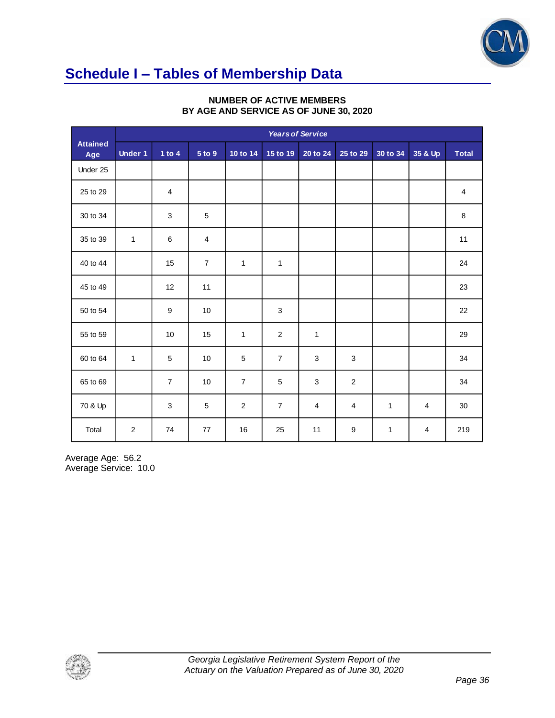

# **Schedule I – Tables of Membership Data**

|                        |                | <b>Years of Service</b> |                |                |                |                |                         |          |                |              |
|------------------------|----------------|-------------------------|----------------|----------------|----------------|----------------|-------------------------|----------|----------------|--------------|
| <b>Attained</b><br>Age | <b>Under 1</b> | 1 to $4$                | 5 to 9         | 10 to 14       | 15 to 19       | 20 to 24       | 25 to 29                | 30 to 34 | 35 & Up        | <b>Total</b> |
| Under 25               |                |                         |                |                |                |                |                         |          |                |              |
| 25 to 29               |                | 4                       |                |                |                |                |                         |          |                | 4            |
| 30 to 34               |                | $\mathbf{3}$            | $\sqrt{5}$     |                |                |                |                         |          |                | 8            |
| 35 to 39               | $\mathbf{1}$   | 6                       | $\overline{4}$ |                |                |                |                         |          |                | 11           |
| 40 to 44               |                | 15                      | $\overline{7}$ | $\mathbf{1}$   | 1              |                |                         |          |                | 24           |
| 45 to 49               |                | 12                      | 11             |                |                |                |                         |          |                | 23           |
| 50 to 54               |                | 9                       | 10             |                | 3              |                |                         |          |                | 22           |
| 55 to 59               |                | 10                      | 15             | $\mathbf{1}$   | $\overline{c}$ | 1              |                         |          |                | 29           |
| 60 to 64               | $\mathbf{1}$   | 5                       | $10$           | $\sqrt{5}$     | $\overline{7}$ | $\sqrt{3}$     | $\mathbf{3}$            |          |                | 34           |
| 65 to 69               |                | $\overline{7}$          | 10             | $\overline{7}$ | 5              | 3              | $\overline{c}$          |          |                | 34           |
| 70 & Up                |                | 3                       | 5              | $\sqrt{2}$     | $\overline{7}$ | $\overline{4}$ | $\overline{\mathbf{4}}$ | 1        | $\overline{4}$ | $30\,$       |
| Total                  | $\overline{c}$ | 74                      | 77             | 16             | 25             | 11             | 9                       | 1        | 4              | 219          |

#### **NUMBER OF ACTIVE MEMBERS BY AGE AND SERVICE AS OF JUNE 30, 2020**

Average Age: 56.2 Average Service: 10.0

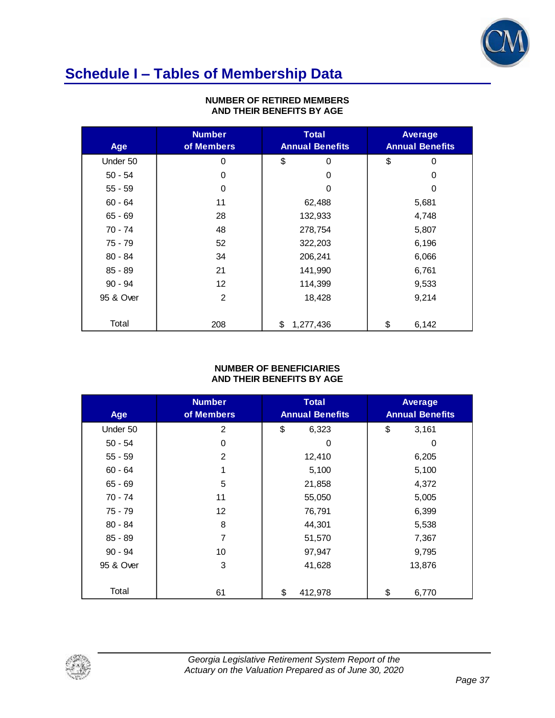

# **Schedule I – Tables of Membership Data**

| Age       | <b>Number</b><br>of Members | <b>Total</b><br><b>Annual Benefits</b> | <b>Average</b><br><b>Annual Benefits</b> |
|-----------|-----------------------------|----------------------------------------|------------------------------------------|
| Under 50  | 0                           | \$<br>$\Omega$                         | \$<br>0                                  |
| $50 - 54$ | 0                           | 0                                      | 0                                        |
| $55 - 59$ | 0                           | $\Omega$                               | 0                                        |
| $60 - 64$ | 11                          | 62,488                                 | 5,681                                    |
| 65 - 69   | 28                          | 132,933                                | 4,748                                    |
| 70 - 74   | 48                          | 278,754                                | 5,807                                    |
| 75 - 79   | 52                          | 322,203                                | 6,196                                    |
| $80 - 84$ | 34                          | 206,241                                | 6,066                                    |
| 85 - 89   | 21                          | 141,990                                | 6,761                                    |
| $90 - 94$ | $12 \overline{ }$           | 114,399                                | 9,533                                    |
| 95 & Over | 2                           | 18,428                                 | 9,214                                    |
|           |                             |                                        |                                          |
| Total     | 208                         | \$<br>1,277,436                        | \$<br>6,142                              |

#### **NUMBER OF RETIRED MEMBERS AND THEIR BENEFITS BY AGE**

#### **NUMBER OF BENEFICIARIES AND THEIR BENEFITS BY AGE**

| Age       | <b>Number</b><br>of Members | <b>Total</b><br><b>Annual Benefits</b> | <b>Average</b><br><b>Annual Benefits</b> |
|-----------|-----------------------------|----------------------------------------|------------------------------------------|
| Under 50  | 2                           | \$<br>6,323                            | \$<br>3,161                              |
| $50 - 54$ | 0                           | 0                                      | 0                                        |
| $55 - 59$ | 2                           | 12,410                                 | 6,205                                    |
| $60 - 64$ | 1                           | 5,100                                  | 5,100                                    |
| $65 - 69$ | 5                           | 21,858                                 | 4,372                                    |
| 70 - 74   | 11                          | 55,050                                 | 5,005                                    |
| 75 - 79   | 12                          | 76,791                                 | 6,399                                    |
| $80 - 84$ | 8                           | 44,301                                 | 5,538                                    |
| 85 - 89   | 7                           | 51,570                                 | 7,367                                    |
| $90 - 94$ | 10                          | 97,947                                 | 9,795                                    |
| 95 & Over | 3                           | 41,628                                 | 13,876                                   |
|           |                             |                                        |                                          |
| Total     | 61                          | \$<br>412,978                          | \$<br>6,770                              |

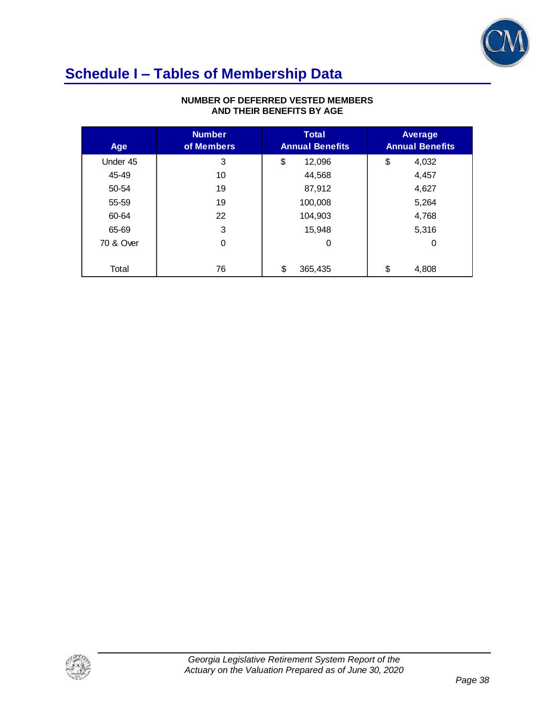

### **Schedule I – Tables of Membership Data**

| Age       | <b>Number</b><br>of Members | <b>Total</b><br><b>Annual Benefits</b> | Average<br><b>Annual Benefits</b> |
|-----------|-----------------------------|----------------------------------------|-----------------------------------|
| Under 45  | 3                           | \$<br>12,096                           | \$<br>4,032                       |
| 45-49     | 10                          | 44,568                                 | 4,457                             |
| 50-54     | 19                          | 87,912                                 | 4,627                             |
| 55-59     | 19                          | 100,008                                | 5,264                             |
| 60-64     | 22                          | 104,903                                | 4,768                             |
| 65-69     | 3                           | 15.948                                 | 5,316                             |
| 70 & Over | $\mathbf 0$                 | 0                                      | 0                                 |
|           |                             |                                        |                                   |
| Total     | 76                          | \$<br>365,435                          | \$<br>4,808                       |

#### **NUMBER OF DEFERRED VESTED MEMBERS AND THEIR BENEFITS BY AGE**